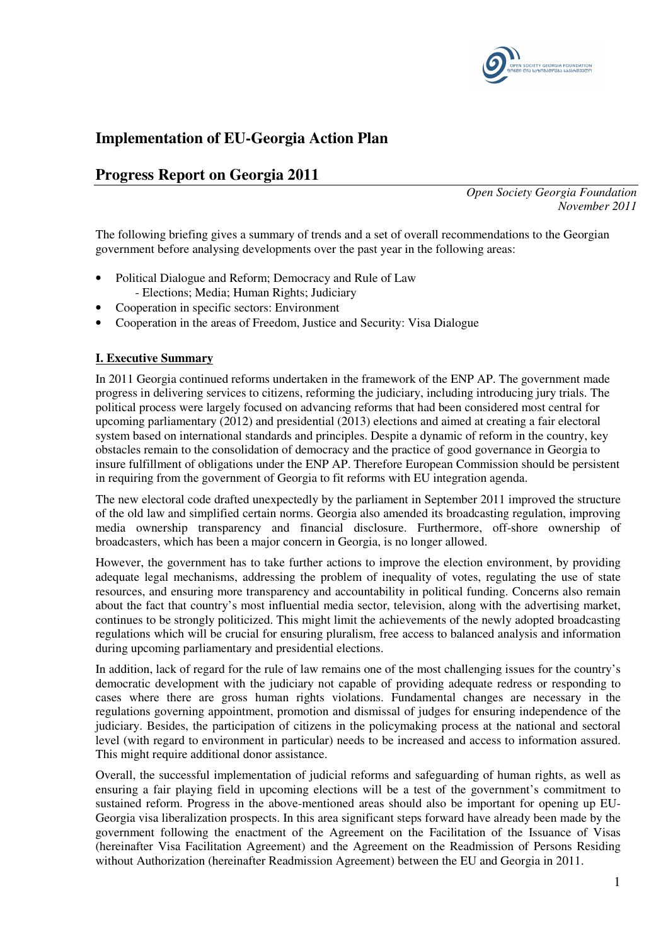

# **Implementation of EU-Georgia Action Plan**

# **Progress Report on Georgia 2011**

*Open Society Georgia Foundation November 2011* 

The following briefing gives a summary of trends and a set of overall recommendations to the Georgian government before analysing developments over the past year in the following areas:

- Political Dialogue and Reform; Democracy and Rule of Law - Elections; Media; Human Rights; Judiciary
- 
- Cooperation in specific sectors: Environment
- Cooperation in the areas of Freedom, Justice and Security: Visa Dialogue

# **I. Executive Summary**

In 2011 Georgia continued reforms undertaken in the framework of the ENP AP. The government made progress in delivering services to citizens, reforming the judiciary, including introducing jury trials. The political process were largely focused on advancing reforms that had been considered most central for upcoming parliamentary (2012) and presidential (2013) elections and aimed at creating a fair electoral system based on international standards and principles. Despite a dynamic of reform in the country, key obstacles remain to the consolidation of democracy and the practice of good governance in Georgia to insure fulfillment of obligations under the ENP AP. Therefore European Commission should be persistent in requiring from the government of Georgia to fit reforms with EU integration agenda.

The new electoral code drafted unexpectedly by the parliament in September 2011 improved the structure of the old law and simplified certain norms. Georgia also amended its broadcasting regulation, improving media ownership transparency and financial disclosure. Furthermore, off-shore ownership of broadcasters, which has been a major concern in Georgia, is no longer allowed.

However, the government has to take further actions to improve the election environment, by providing adequate legal mechanisms, addressing the problem of inequality of votes, regulating the use of state resources, and ensuring more transparency and accountability in political funding. Concerns also remain about the fact that country's most influential media sector, television, along with the advertising market, continues to be strongly politicized. This might limit the achievements of the newly adopted broadcasting regulations which will be crucial for ensuring pluralism, free access to balanced analysis and information during upcoming parliamentary and presidential elections.

In addition, lack of regard for the rule of law remains one of the most challenging issues for the country's democratic development with the judiciary not capable of providing adequate redress or responding to cases where there are gross human rights violations. Fundamental changes are necessary in the regulations governing appointment, promotion and dismissal of judges for ensuring independence of the judiciary. Besides, the participation of citizens in the policymaking process at the national and sectoral level (with regard to environment in particular) needs to be increased and access to information assured. This might require additional donor assistance.

Overall, the successful implementation of judicial reforms and safeguarding of human rights, as well as ensuring a fair playing field in upcoming elections will be a test of the government's commitment to sustained reform. Progress in the above-mentioned areas should also be important for opening up EU-Georgia visa liberalization prospects. In this area significant steps forward have already been made by the government following the enactment of the Agreement on the Facilitation of the Issuance of Visas (hereinafter Visa Facilitation Agreement) and the Agreement on the Readmission of Persons Residing without Authorization (hereinafter Readmission Agreement) between the EU and Georgia in 2011.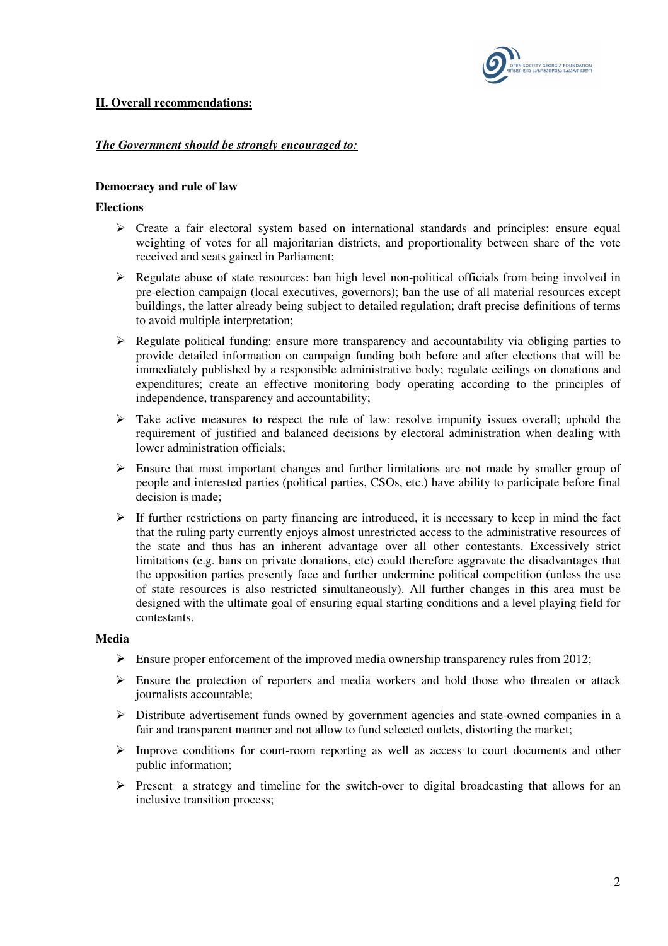

# **II. Overall recommendations:**

# *The Government should be strongly encouraged to:*

#### **Democracy and rule of law**

#### **Elections**

- $\triangleright$  Create a fair electoral system based on international standards and principles: ensure equal weighting of votes for all majoritarian districts, and proportionality between share of the vote received and seats gained in Parliament;
- $\triangleright$  Regulate abuse of state resources: ban high level non-political officials from being involved in pre-election campaign (local executives, governors); ban the use of all material resources except buildings, the latter already being subject to detailed regulation; draft precise definitions of terms to avoid multiple interpretation;
- $\triangleright$  Regulate political funding: ensure more transparency and accountability via obliging parties to provide detailed information on campaign funding both before and after elections that will be immediately published by a responsible administrative body; regulate ceilings on donations and expenditures; create an effective monitoring body operating according to the principles of independence, transparency and accountability;
- $\triangleright$  Take active measures to respect the rule of law: resolve impunity issues overall; uphold the requirement of justified and balanced decisions by electoral administration when dealing with lower administration officials;
- $\triangleright$  Ensure that most important changes and further limitations are not made by smaller group of people and interested parties (political parties, CSOs, etc.) have ability to participate before final decision is made;
- $\triangleright$  If further restrictions on party financing are introduced, it is necessary to keep in mind the fact that the ruling party currently enjoys almost unrestricted access to the administrative resources of the state and thus has an inherent advantage over all other contestants. Excessively strict limitations (e.g. bans on private donations, etc) could therefore aggravate the disadvantages that the opposition parties presently face and further undermine political competition (unless the use of state resources is also restricted simultaneously). All further changes in this area must be designed with the ultimate goal of ensuring equal starting conditions and a level playing field for contestants.

#### **Media**

- Ensure proper enforcement of the improved media ownership transparency rules from 2012;
- $\triangleright$  Ensure the protection of reporters and media workers and hold those who threaten or attack journalists accountable;
- $\triangleright$  Distribute advertisement funds owned by government agencies and state-owned companies in a fair and transparent manner and not allow to fund selected outlets, distorting the market;
- $\triangleright$  Improve conditions for court-room reporting as well as access to court documents and other public information;
- Present a strategy and timeline for the switch-over to digital broadcasting that allows for an inclusive transition process;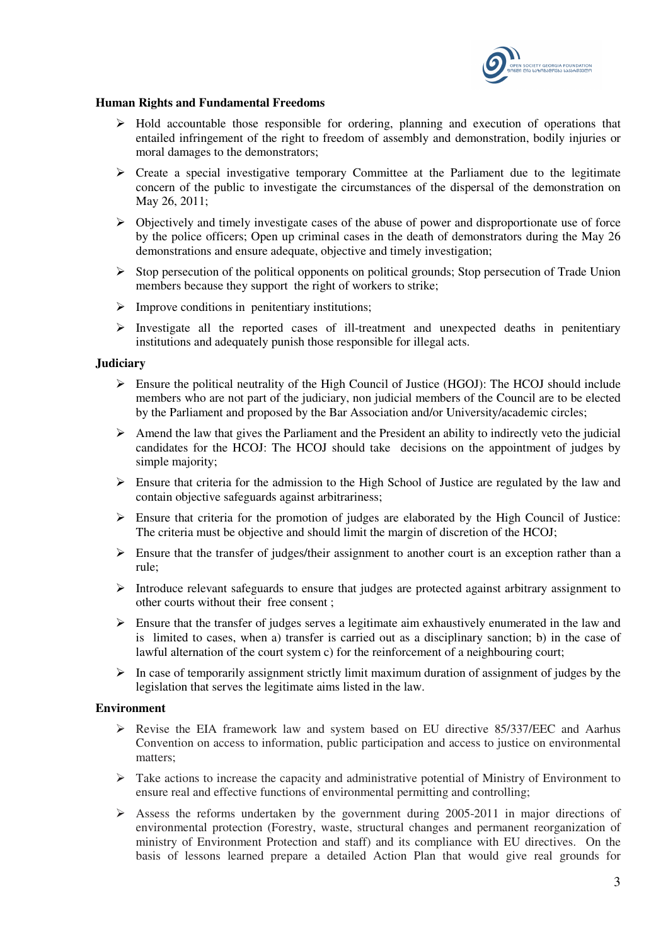

#### **Human Rights and Fundamental Freedoms**

- $\triangleright$  Hold accountable those responsible for ordering, planning and execution of operations that entailed infringement of the right to freedom of assembly and demonstration, bodily injuries or moral damages to the demonstrators;
- $\triangleright$  Create a special investigative temporary Committee at the Parliament due to the legitimate concern of the public to investigate the circumstances of the dispersal of the demonstration on May 26, 2011;
- $\triangleright$  Objectively and timely investigate cases of the abuse of power and disproportionate use of force by the police officers; Open up criminal cases in the death of demonstrators during the May 26 demonstrations and ensure adequate, objective and timely investigation;
- $\triangleright$  Stop persecution of the political opponents on political grounds; Stop persecution of Trade Union members because they support the right of workers to strike;
- $\triangleright$  Improve conditions in penitentiary institutions;
- $\triangleright$  Investigate all the reported cases of ill-treatment and unexpected deaths in penitentiary institutions and adequately punish those responsible for illegal acts.

#### **Judiciary**

- $\triangleright$  Ensure the political neutrality of the High Council of Justice (HGOJ): The HCOJ should include members who are not part of the judiciary, non judicial members of the Council are to be elected by the Parliament and proposed by the Bar Association and/or University/academic circles;
- $\triangleright$  Amend the law that gives the Parliament and the President an ability to indirectly veto the judicial candidates for the HCOJ: The HCOJ should take decisions on the appointment of judges by simple majority;
- $\triangleright$  Ensure that criteria for the admission to the High School of Justice are regulated by the law and contain objective safeguards against arbitrariness;
- Ensure that criteria for the promotion of judges are elaborated by the High Council of Justice: The criteria must be objective and should limit the margin of discretion of the HCOJ;
- $\triangleright$  Ensure that the transfer of judges/their assignment to another court is an exception rather than a rule;
- $\triangleright$  Introduce relevant safeguards to ensure that judges are protected against arbitrary assignment to other courts without their free consent ;
- $\triangleright$  Ensure that the transfer of judges serves a legitimate aim exhaustively enumerated in the law and is limited to cases, when a) transfer is carried out as a disciplinary sanction; b) in the case of lawful alternation of the court system c) for the reinforcement of a neighbouring court;
- $\triangleright$  In case of temporarily assignment strictly limit maximum duration of assignment of judges by the legislation that serves the legitimate aims listed in the law.

#### **Environment**

- Revise the EIA framework law and system based on EU directive 85/337/EEC and Aarhus Convention on access to information, public participation and access to justice on environmental matters;
- $\triangleright$  Take actions to increase the capacity and administrative potential of Ministry of Environment to ensure real and effective functions of environmental permitting and controlling;
- $\triangleright$  Assess the reforms undertaken by the government during 2005-2011 in major directions of environmental protection (Forestry, waste, structural changes and permanent reorganization of ministry of Environment Protection and staff) and its compliance with EU directives. On the basis of lessons learned prepare a detailed Action Plan that would give real grounds for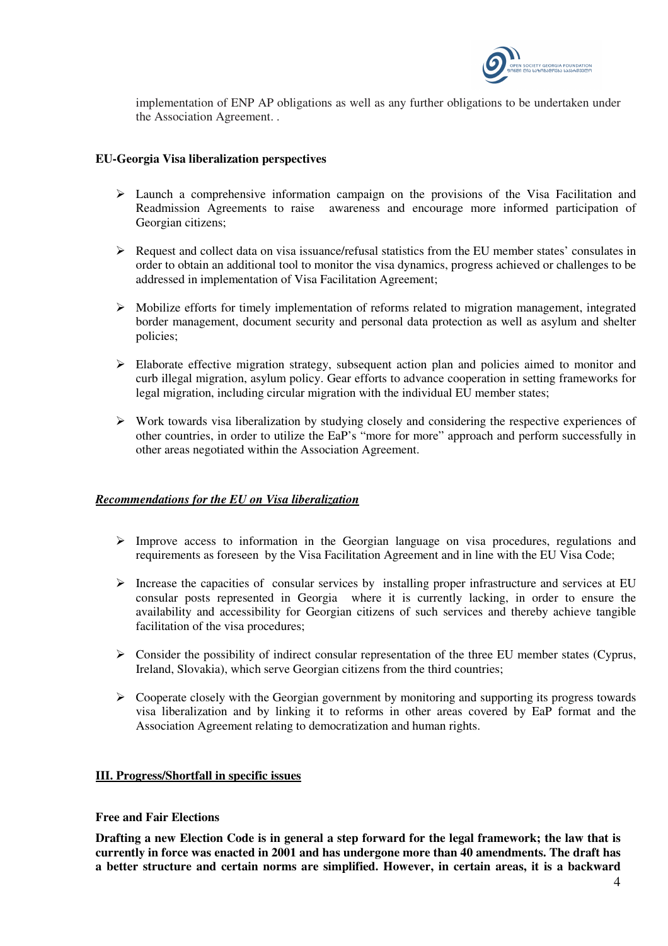

implementation of ENP AP obligations as well as any further obligations to be undertaken under the Association Agreement. .

# **EU-Georgia Visa liberalization perspectives**

- Launch a comprehensive information campaign on the provisions of the Visa Facilitation and Readmission Agreements to raise awareness and encourage more informed participation of Georgian citizens;
- $\triangleright$  Request and collect data on visa issuance/refusal statistics from the EU member states' consulates in order to obtain an additional tool to monitor the visa dynamics, progress achieved or challenges to be addressed in implementation of Visa Facilitation Agreement;
- Mobilize efforts for timely implementation of reforms related to migration management, integrated border management, document security and personal data protection as well as asylum and shelter policies;
- Elaborate effective migration strategy, subsequent action plan and policies aimed to monitor and curb illegal migration, asylum policy. Gear efforts to advance cooperation in setting frameworks for legal migration, including circular migration with the individual  $E\dot{U}$  member states;
- $\triangleright$  Work towards visa liberalization by studying closely and considering the respective experiences of other countries, in order to utilize the EaP's "more for more" approach and perform successfully in other areas negotiated within the Association Agreement.

## *Recommendations for the EU on Visa liberalization*

- Improve access to information in the Georgian language on visa procedures, regulations and requirements as foreseen by the Visa Facilitation Agreement and in line with the EU Visa Code;
- $\triangleright$  Increase the capacities of consular services by installing proper infrastructure and services at EU consular posts represented in Georgia where it is currently lacking, in order to ensure the availability and accessibility for Georgian citizens of such services and thereby achieve tangible facilitation of the visa procedures;
- $\triangleright$  Consider the possibility of indirect consular representation of the three EU member states (Cyprus, Ireland, Slovakia), which serve Georgian citizens from the third countries;
- $\triangleright$  Cooperate closely with the Georgian government by monitoring and supporting its progress towards visa liberalization and by linking it to reforms in other areas covered by EaP format and the Association Agreement relating to democratization and human rights.

## **III. Progress/Shortfall in specific issues**

## **Free and Fair Elections**

**Drafting a new Election Code is in general a step forward for the legal framework; the law that is currently in force was enacted in 2001 and has undergone more than 40 amendments. The draft has a better structure and certain norms are simplified. However, in certain areas, it is a backward**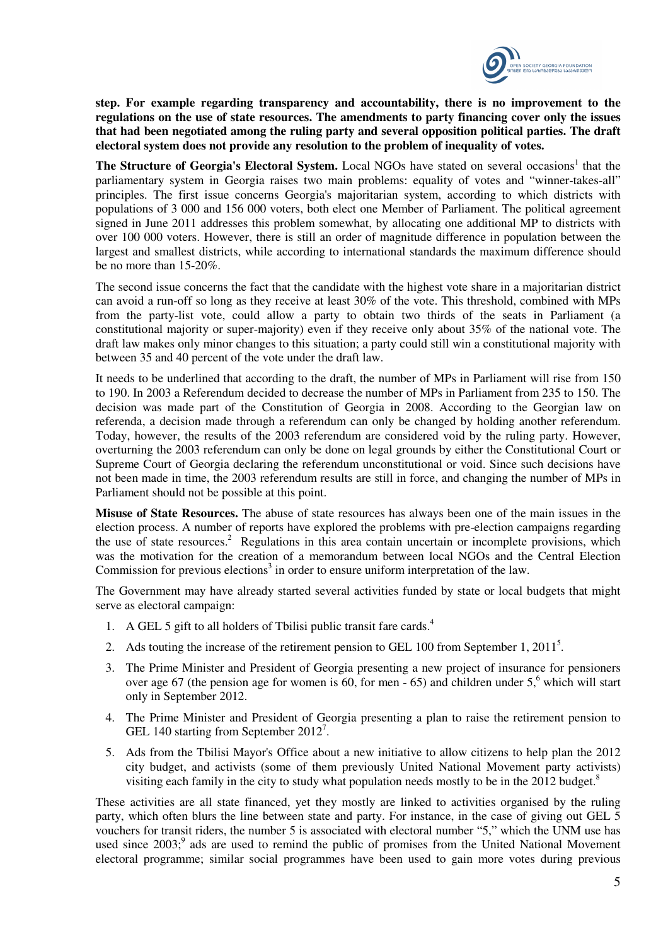

**step. For example regarding transparency and accountability, there is no improvement to the regulations on the use of state resources. The amendments to party financing cover only the issues that had been negotiated among the ruling party and several opposition political parties. The draft electoral system does not provide any resolution to the problem of inequality of votes.** 

The Structure of Georgia's Electoral System. Local NGOs have stated on several occasions<sup>1</sup> that the parliamentary system in Georgia raises two main problems: equality of votes and "winner-takes-all" principles. The first issue concerns Georgia's majoritarian system, according to which districts with populations of 3 000 and 156 000 voters, both elect one Member of Parliament. The political agreement signed in June 2011 addresses this problem somewhat, by allocating one additional MP to districts with over 100 000 voters. However, there is still an order of magnitude difference in population between the largest and smallest districts, while according to international standards the maximum difference should be no more than 15-20%.

The second issue concerns the fact that the candidate with the highest vote share in a majoritarian district can avoid a run-off so long as they receive at least 30% of the vote. This threshold, combined with MPs from the party-list vote, could allow a party to obtain two thirds of the seats in Parliament (a constitutional majority or super-majority) even if they receive only about 35% of the national vote. The draft law makes only minor changes to this situation; a party could still win a constitutional majority with between 35 and 40 percent of the vote under the draft law.

It needs to be underlined that according to the draft, the number of MPs in Parliament will rise from 150 to 190. In 2003 a Referendum decided to decrease the number of MPs in Parliament from 235 to 150. The decision was made part of the Constitution of Georgia in 2008. According to the Georgian law on referenda, a decision made through a referendum can only be changed by holding another referendum. Today, however, the results of the 2003 referendum are considered void by the ruling party. However, overturning the 2003 referendum can only be done on legal grounds by either the Constitutional Court or Supreme Court of Georgia declaring the referendum unconstitutional or void. Since such decisions have not been made in time, the 2003 referendum results are still in force, and changing the number of MPs in Parliament should not be possible at this point.

**Misuse of State Resources.** The abuse of state resources has always been one of the main issues in the election process. A number of reports have explored the problems with pre-election campaigns regarding the use of state resources.<sup>2</sup> Regulations in this area contain uncertain or incomplete provisions, which was the motivation for the creation of a memorandum between local NGOs and the Central Election Commission for previous elections<sup>3</sup> in order to ensure uniform interpretation of the law.

The Government may have already started several activities funded by state or local budgets that might serve as electoral campaign:

- 1. A GEL 5 gift to all holders of Tbilisi public transit fare cards. $4$
- 2. Ads touting the increase of the retirement pension to GEL 100 from September 1,  $2011<sup>5</sup>$ .
- 3. The Prime Minister and President of Georgia presenting a new project of insurance for pensioners over age 67 (the pension age for women is 60, for men  $-65$ ) and children under  $5<sup>6</sup>$  which will start only in September 2012.
- 4. The Prime Minister and President of Georgia presenting a plan to raise the retirement pension to GEL 140 starting from September 2012<sup>7</sup>.
- 5. Ads from the Tbilisi Mayor's Office about a new initiative to allow citizens to help plan the 2012 city budget, and activists (some of them previously United National Movement party activists) visiting each family in the city to study what population needs mostly to be in the 2012 budget.<sup>8</sup>

These activities are all state financed, yet they mostly are linked to activities organised by the ruling party, which often blurs the line between state and party. For instance, in the case of giving out GEL 5 vouchers for transit riders, the number 5 is associated with electoral number "5," which the UNM use has used since 2003;<sup>9</sup> ads are used to remind the public of promises from the United National Movement electoral programme; similar social programmes have been used to gain more votes during previous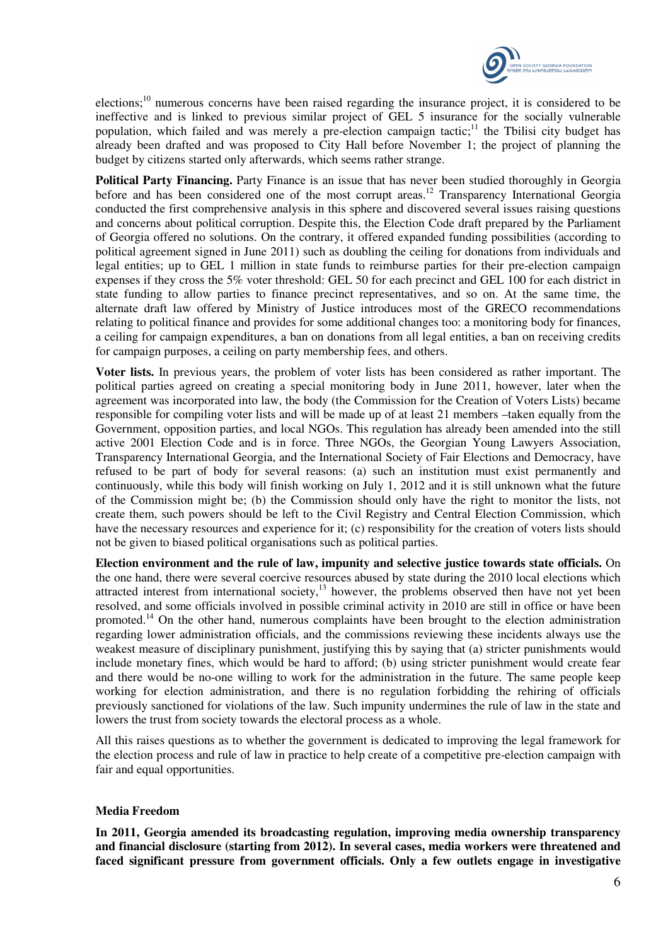

elections;<sup>10</sup> numerous concerns have been raised regarding the insurance project, it is considered to be ineffective and is linked to previous similar project of GEL 5 insurance for the socially vulnerable population, which failed and was merely a pre-election campaign tactic;<sup>11</sup> the Tbilisi city budget has already been drafted and was proposed to City Hall before November 1; the project of planning the budget by citizens started only afterwards, which seems rather strange.

Political Party Financing. Party Finance is an issue that has never been studied thoroughly in Georgia before and has been considered one of the most corrupt areas.<sup>12</sup> Transparency International Georgia conducted the first comprehensive analysis in this sphere and discovered several issues raising questions and concerns about political corruption. Despite this, the Election Code draft prepared by the Parliament of Georgia offered no solutions. On the contrary, it offered expanded funding possibilities (according to political agreement signed in June 2011) such as doubling the ceiling for donations from individuals and legal entities; up to GEL 1 million in state funds to reimburse parties for their pre-election campaign expenses if they cross the 5% voter threshold: GEL 50 for each precinct and GEL 100 for each district in state funding to allow parties to finance precinct representatives, and so on. At the same time, the alternate draft law offered by Ministry of Justice introduces most of the GRECO recommendations relating to political finance and provides for some additional changes too: a monitoring body for finances, a ceiling for campaign expenditures, a ban on donations from all legal entities, a ban on receiving credits for campaign purposes, a ceiling on party membership fees, and others.

**Voter lists.** In previous years, the problem of voter lists has been considered as rather important. The political parties agreed on creating a special monitoring body in June 2011, however, later when the agreement was incorporated into law, the body (the Commission for the Creation of Voters Lists) became responsible for compiling voter lists and will be made up of at least 21 members –taken equally from the Government, opposition parties, and local NGOs. This regulation has already been amended into the still active 2001 Election Code and is in force. Three NGOs, the Georgian Young Lawyers Association, Transparency International Georgia, and the International Society of Fair Elections and Democracy, have refused to be part of body for several reasons: (a) such an institution must exist permanently and continuously, while this body will finish working on July 1, 2012 and it is still unknown what the future of the Commission might be; (b) the Commission should only have the right to monitor the lists, not create them, such powers should be left to the Civil Registry and Central Election Commission, which have the necessary resources and experience for it; (c) responsibility for the creation of voters lists should not be given to biased political organisations such as political parties.

**Election environment and the rule of law, impunity and selective justice towards state officials.** On the one hand, there were several coercive resources abused by state during the 2010 local elections which attracted interest from international society, $13$  however, the problems observed then have not yet been resolved, and some officials involved in possible criminal activity in 2010 are still in office or have been promoted.<sup>14</sup> On the other hand, numerous complaints have been brought to the election administration regarding lower administration officials, and the commissions reviewing these incidents always use the weakest measure of disciplinary punishment, justifying this by saying that (a) stricter punishments would include monetary fines, which would be hard to afford; (b) using stricter punishment would create fear and there would be no-one willing to work for the administration in the future. The same people keep working for election administration, and there is no regulation forbidding the rehiring of officials previously sanctioned for violations of the law. Such impunity undermines the rule of law in the state and lowers the trust from society towards the electoral process as a whole.

All this raises questions as to whether the government is dedicated to improving the legal framework for the election process and rule of law in practice to help create of a competitive pre-election campaign with fair and equal opportunities.

## **Media Freedom**

**In 2011, Georgia amended its broadcasting regulation, improving media ownership transparency and financial disclosure (starting from 2012). In several cases, media workers were threatened and faced significant pressure from government officials. Only a few outlets engage in investigative**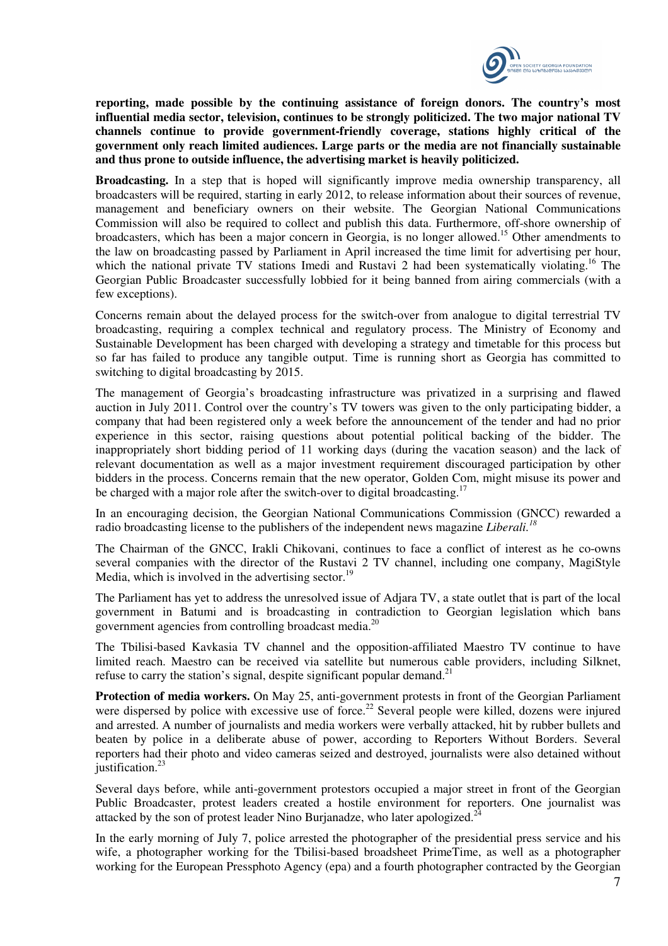

**reporting, made possible by the continuing assistance of foreign donors. The country's most influential media sector, television, continues to be strongly politicized. The two major national TV channels continue to provide government-friendly coverage, stations highly critical of the government only reach limited audiences. Large parts or the media are not financially sustainable and thus prone to outside influence, the advertising market is heavily politicized.** 

**Broadcasting.** In a step that is hoped will significantly improve media ownership transparency, all broadcasters will be required, starting in early 2012, to release information about their sources of revenue, management and beneficiary owners on their website. The Georgian National Communications Commission will also be required to collect and publish this data. Furthermore, off-shore ownership of broadcasters, which has been a major concern in Georgia, is no longer allowed.<sup>15</sup> Other amendments to the law on broadcasting passed by Parliament in April increased the time limit for advertising per hour, which the national private TV stations Imedi and Rustavi 2 had been systematically violating.<sup>16</sup> The Georgian Public Broadcaster successfully lobbied for it being banned from airing commercials (with a few exceptions).

Concerns remain about the delayed process for the switch-over from analogue to digital terrestrial TV broadcasting, requiring a complex technical and regulatory process. The Ministry of Economy and Sustainable Development has been charged with developing a strategy and timetable for this process but so far has failed to produce any tangible output. Time is running short as Georgia has committed to switching to digital broadcasting by 2015.

The management of Georgia's broadcasting infrastructure was privatized in a surprising and flawed auction in July 2011. Control over the country's TV towers was given to the only participating bidder, a company that had been registered only a week before the announcement of the tender and had no prior experience in this sector, raising questions about potential political backing of the bidder. The inappropriately short bidding period of 11 working days (during the vacation season) and the lack of relevant documentation as well as a major investment requirement discouraged participation by other bidders in the process. Concerns remain that the new operator, Golden Com, might misuse its power and be charged with a major role after the switch-over to digital broadcasting.<sup>17</sup>

In an encouraging decision, the Georgian National Communications Commission (GNCC) rewarded a radio broadcasting license to the publishers of the independent news magazine *Liberali.<sup>18</sup>*

The Chairman of the GNCC, Irakli Chikovani, continues to face a conflict of interest as he co-owns several companies with the director of the Rustavi 2 TV channel, including one company, MagiStyle Media, which is involved in the advertising sector.<sup>19</sup>

The Parliament has yet to address the unresolved issue of Adjara TV, a state outlet that is part of the local government in Batumi and is broadcasting in contradiction to Georgian legislation which bans government agencies from controlling broadcast media. $^{20}$ 

The Tbilisi-based Kavkasia TV channel and the opposition-affiliated Maestro TV continue to have limited reach. Maestro can be received via satellite but numerous cable providers, including Silknet, refuse to carry the station's signal, despite significant popular demand.<sup>21</sup>

**Protection of media workers.** On May 25, anti-government protests in front of the Georgian Parliament were dispersed by police with excessive use of force.<sup>22</sup> Several people were killed, dozens were injured and arrested. A number of journalists and media workers were verbally attacked, hit by rubber bullets and beaten by police in a deliberate abuse of power, according to Reporters Without Borders. Several reporters had their photo and video cameras seized and destroyed, journalists were also detained without justification.<sup>23</sup>

Several days before, while anti-government protestors occupied a major street in front of the Georgian Public Broadcaster, protest leaders created a hostile environment for reporters. One journalist was attacked by the son of protest leader Nino Burjanadze, who later apologized.<sup>2</sup>

In the early morning of July 7, police arrested the photographer of the presidential press service and his wife, a photographer working for the Tbilisi-based broadsheet PrimeTime, as well as a photographer working for the European Pressphoto Agency (epa) and a fourth photographer contracted by the Georgian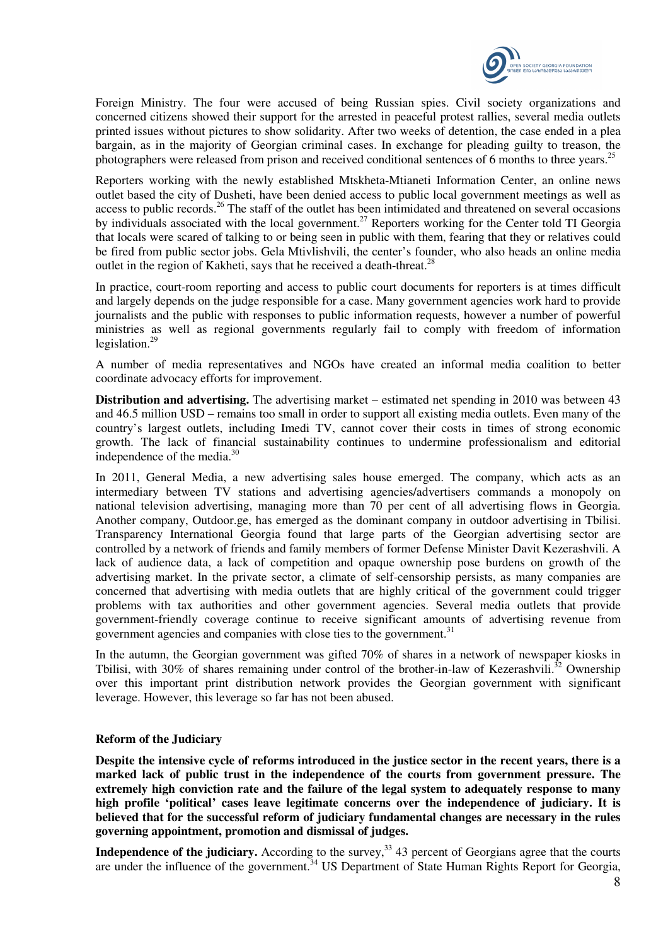

Foreign Ministry. The four were accused of being Russian spies. Civil society organizations and concerned citizens showed their support for the arrested in peaceful protest rallies, several media outlets printed issues without pictures to show solidarity. After two weeks of detention, the case ended in a plea bargain, as in the majority of Georgian criminal cases. In exchange for pleading guilty to treason, the photographers were released from prison and received conditional sentences of 6 months to three years.<sup>25</sup>

Reporters working with the newly established Mtskheta-Mtianeti Information Center, an online news outlet based the city of Dusheti, have been denied access to public local government meetings as well as access to public records.<sup>26</sup> The staff of the outlet has been intimidated and threatened on several occasions by individuals associated with the local government.<sup>27</sup> Reporters working for the Center told TI Georgia that locals were scared of talking to or being seen in public with them, fearing that they or relatives could be fired from public sector jobs. Gela Mtivlishvili, the center's founder, who also heads an online media outlet in the region of Kakheti, says that he received a death-threat. $^{28}$ 

In practice, court-room reporting and access to public court documents for reporters is at times difficult and largely depends on the judge responsible for a case. Many government agencies work hard to provide journalists and the public with responses to public information requests, however a number of powerful ministries as well as regional governments regularly fail to comply with freedom of information legislation. $^{29}$ 

A number of media representatives and NGOs have created an informal media coalition to better coordinate advocacy efforts for improvement.

**Distribution and advertising.** The advertising market – estimated net spending in 2010 was between 43 and 46.5 million USD – remains too small in order to support all existing media outlets. Even many of the country's largest outlets, including Imedi TV, cannot cover their costs in times of strong economic growth. The lack of financial sustainability continues to undermine professionalism and editorial independence of the media.<sup>30</sup>

In 2011, General Media, a new advertising sales house emerged. The company, which acts as an intermediary between TV stations and advertising agencies/advertisers commands a monopoly on national television advertising, managing more than 70 per cent of all advertising flows in Georgia. Another company, Outdoor.ge, has emerged as the dominant company in outdoor advertising in Tbilisi. Transparency International Georgia found that large parts of the Georgian advertising sector are controlled by a network of friends and family members of former Defense Minister Davit Kezerashvili. A lack of audience data, a lack of competition and opaque ownership pose burdens on growth of the advertising market. In the private sector, a climate of self-censorship persists, as many companies are concerned that advertising with media outlets that are highly critical of the government could trigger problems with tax authorities and other government agencies. Several media outlets that provide government-friendly coverage continue to receive significant amounts of advertising revenue from government agencies and companies with close ties to the government.<sup>31</sup>

In the autumn, the Georgian government was gifted 70% of shares in a network of newspaper kiosks in Tbilisi, with 30% of shares remaining under control of the brother-in-law of Kezerashvili.<sup>32</sup> Ownership over this important print distribution network provides the Georgian government with significant leverage. However, this leverage so far has not been abused.

## **Reform of the Judiciary**

**Despite the intensive cycle of reforms introduced in the justice sector in the recent years, there is a marked lack of public trust in the independence of the courts from government pressure. The extremely high conviction rate and the failure of the legal system to adequately response to many high profile 'political' cases leave legitimate concerns over the independence of judiciary. It is believed that for the successful reform of judiciary fundamental changes are necessary in the rules governing appointment, promotion and dismissal of judges.** 

**Independence of the judiciary.** According to the survey,<sup>33</sup> 43 percent of Georgians agree that the courts are under the influence of the government.<sup>34</sup> US Department of State Human Rights Report for Georgia,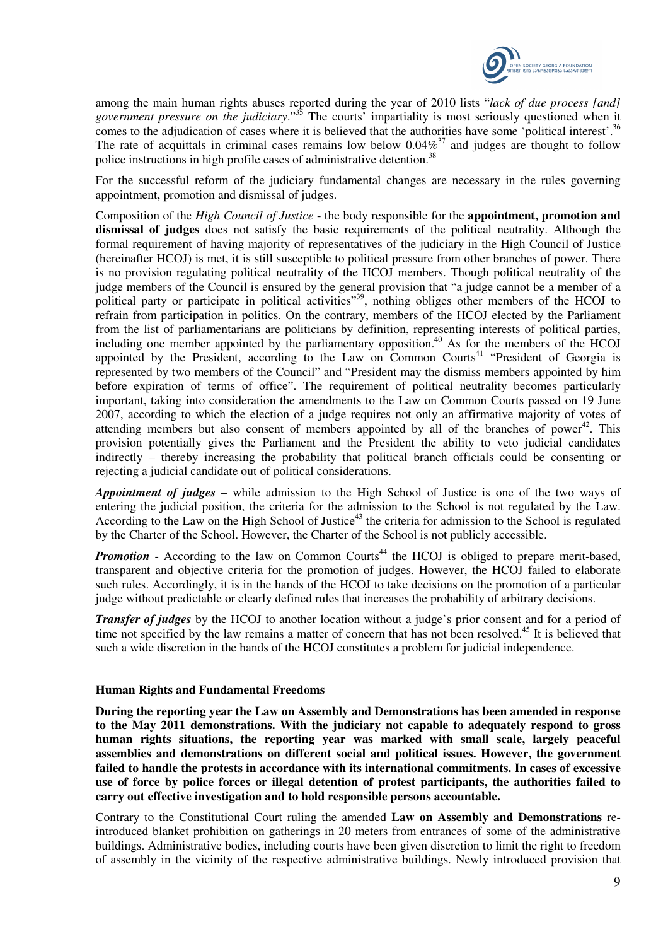

among the main human rights abuses reported during the year of 2010 lists "*lack of due process [and] government pressure on the judiciary*."<sup>35</sup> The courts' impartiality is most seriously questioned when it comes to the adjudication of cases where it is believed that the authorities have some 'political interest'.<sup>36</sup> The rate of acquittals in criminal cases remains low below  $0.04\%^{37}$  and judges are thought to follow police instructions in high profile cases of administrative detention.<sup>38</sup>

For the successful reform of the judiciary fundamental changes are necessary in the rules governing appointment, promotion and dismissal of judges.

Composition of the *High Council of Justice* - the body responsible for the **appointment, promotion and dismissal of judges** does not satisfy the basic requirements of the political neutrality. Although the formal requirement of having majority of representatives of the judiciary in the High Council of Justice (hereinafter HCOJ) is met, it is still susceptible to political pressure from other branches of power. There is no provision regulating political neutrality of the HCOJ members. Though political neutrality of the judge members of the Council is ensured by the general provision that "a judge cannot be a member of a political party or participate in political activities"<sup>39</sup>, nothing obliges other members of the HCOJ to refrain from participation in politics. On the contrary, members of the HCOJ elected by the Parliament from the list of parliamentarians are politicians by definition, representing interests of political parties, including one member appointed by the parliamentary opposition.<sup>40</sup> As for the members of the HCOJ appointed by the President, according to the Law on Common Courts<sup>41</sup> "President of Georgia is represented by two members of the Council" and "President may the dismiss members appointed by him before expiration of terms of office". The requirement of political neutrality becomes particularly important, taking into consideration the amendments to the Law on Common Courts passed on 19 June 2007, according to which the election of a judge requires not only an affirmative majority of votes of attending members but also consent of members appointed by all of the branches of power<sup>42</sup>. This provision potentially gives the Parliament and the President the ability to veto judicial candidates indirectly – thereby increasing the probability that political branch officials could be consenting or rejecting a judicial candidate out of political considerations.

*Appointment of judges* – while admission to the High School of Justice is one of the two ways of entering the judicial position, the criteria for the admission to the School is not regulated by the Law. According to the Law on the High School of Justice<sup>43</sup> the criteria for admission to the School is regulated by the Charter of the School. However, the Charter of the School is not publicly accessible.

*Promotion* - According to the law on Common Courts<sup>44</sup> the HCOJ is obliged to prepare merit-based, transparent and objective criteria for the promotion of judges. However, the HCOJ failed to elaborate such rules. Accordingly, it is in the hands of the HCOJ to take decisions on the promotion of a particular judge without predictable or clearly defined rules that increases the probability of arbitrary decisions.

*Transfer of judges* by the HCOJ to another location without a judge's prior consent and for a period of time not specified by the law remains a matter of concern that has not been resolved.<sup>45</sup> It is believed that such a wide discretion in the hands of the HCOJ constitutes a problem for judicial independence.

## **Human Rights and Fundamental Freedoms**

**During the reporting year the Law on Assembly and Demonstrations has been amended in response to the May 2011 demonstrations. With the judiciary not capable to adequately respond to gross human rights situations, the reporting year was marked with small scale, largely peaceful assemblies and demonstrations on different social and political issues. However, the government failed to handle the protests in accordance with its international commitments. In cases of excessive use of force by police forces or illegal detention of protest participants, the authorities failed to carry out effective investigation and to hold responsible persons accountable.** 

Contrary to the Constitutional Court ruling the amended **Law on Assembly and Demonstrations** reintroduced blanket prohibition on gatherings in 20 meters from entrances of some of the administrative buildings. Administrative bodies, including courts have been given discretion to limit the right to freedom of assembly in the vicinity of the respective administrative buildings. Newly introduced provision that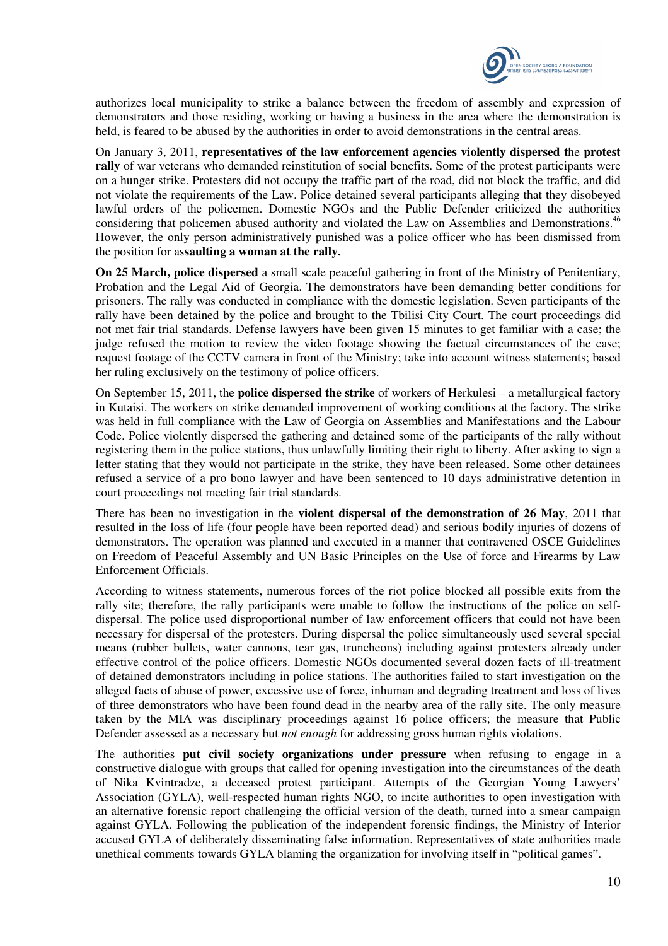

authorizes local municipality to strike a balance between the freedom of assembly and expression of demonstrators and those residing, working or having a business in the area where the demonstration is held, is feared to be abused by the authorities in order to avoid demonstrations in the central areas.

On January 3, 2011, **representatives of the law enforcement agencies violently dispersed t**he **protest rally** of war veterans who demanded reinstitution of social benefits. Some of the protest participants were on a hunger strike. Protesters did not occupy the traffic part of the road, did not block the traffic, and did not violate the requirements of the Law. Police detained several participants alleging that they disobeyed lawful orders of the policemen. Domestic NGOs and the Public Defender criticized the authorities considering that policemen abused authority and violated the Law on Assemblies and Demonstrations.<sup>46</sup> However, the only person administratively punished was a police officer who has been dismissed from the position for as**saulting a woman at the rally.** 

**On 25 March, police dispersed** a small scale peaceful gathering in front of the Ministry of Penitentiary, Probation and the Legal Aid of Georgia. The demonstrators have been demanding better conditions for prisoners. The rally was conducted in compliance with the domestic legislation. Seven participants of the rally have been detained by the police and brought to the Tbilisi City Court. The court proceedings did not met fair trial standards. Defense lawyers have been given 15 minutes to get familiar with a case; the judge refused the motion to review the video footage showing the factual circumstances of the case; request footage of the CCTV camera in front of the Ministry; take into account witness statements; based her ruling exclusively on the testimony of police officers.

On September 15, 2011, the **police dispersed the strike** of workers of Herkulesi – a metallurgical factory in Kutaisi. The workers on strike demanded improvement of working conditions at the factory. The strike was held in full compliance with the Law of Georgia on Assemblies and Manifestations and the Labour Code. Police violently dispersed the gathering and detained some of the participants of the rally without registering them in the police stations, thus unlawfully limiting their right to liberty. After asking to sign a letter stating that they would not participate in the strike, they have been released. Some other detainees refused a service of a pro bono lawyer and have been sentenced to 10 days administrative detention in court proceedings not meeting fair trial standards.

There has been no investigation in the **violent dispersal of the demonstration of 26 May**, 2011 that resulted in the loss of life (four people have been reported dead) and serious bodily injuries of dozens of demonstrators. The operation was planned and executed in a manner that contravened OSCE Guidelines on Freedom of Peaceful Assembly and UN Basic Principles on the Use of force and Firearms by Law Enforcement Officials.

According to witness statements, numerous forces of the riot police blocked all possible exits from the rally site; therefore, the rally participants were unable to follow the instructions of the police on selfdispersal. The police used disproportional number of law enforcement officers that could not have been necessary for dispersal of the protesters. During dispersal the police simultaneously used several special means (rubber bullets, water cannons, tear gas, truncheons) including against protesters already under effective control of the police officers. Domestic NGOs documented several dozen facts of ill-treatment of detained demonstrators including in police stations. The authorities failed to start investigation on the alleged facts of abuse of power, excessive use of force, inhuman and degrading treatment and loss of lives of three demonstrators who have been found dead in the nearby area of the rally site. The only measure taken by the MIA was disciplinary proceedings against 16 police officers; the measure that Public Defender assessed as a necessary but *not enough* for addressing gross human rights violations.

The authorities **put civil society organizations under pressure** when refusing to engage in a constructive dialogue with groups that called for opening investigation into the circumstances of the death of Nika Kvintradze, a deceased protest participant. Attempts of the Georgian Young Lawyers' Association (GYLA), well-respected human rights NGO, to incite authorities to open investigation with an alternative forensic report challenging the official version of the death, turned into a smear campaign against GYLA. Following the publication of the independent forensic findings, the Ministry of Interior accused GYLA of deliberately disseminating false information. Representatives of state authorities made unethical comments towards GYLA blaming the organization for involving itself in "political games".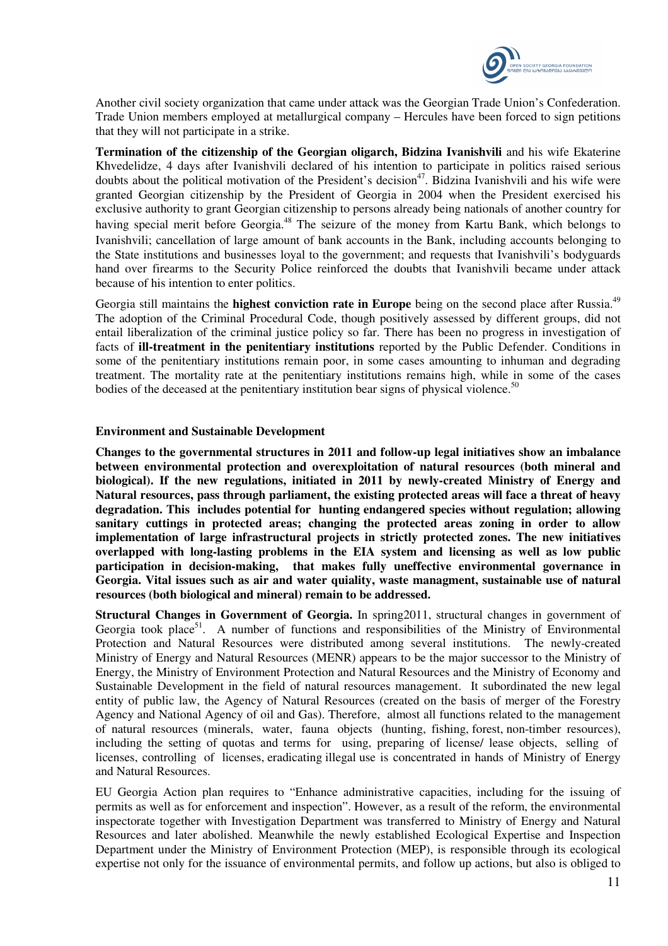

Another civil society organization that came under attack was the Georgian Trade Union's Confederation. Trade Union members employed at metallurgical company – Hercules have been forced to sign petitions that they will not participate in a strike.

**Termination of the citizenship of the Georgian oligarch, Bidzina Ivanishvili** and his wife Ekaterine Khvedelidze, 4 days after Ivanishvili declared of his intention to participate in politics raised serious doubts about the political motivation of the President's decision<sup>47</sup>. Bidzina Ivanishvili and his wife were granted Georgian citizenship by the President of Georgia in 2004 when the President exercised his exclusive authority to grant Georgian citizenship to persons already being nationals of another country for having special merit before Georgia.<sup>48</sup> The seizure of the money from Kartu Bank, which belongs to Ivanishvili; cancellation of large amount of bank accounts in the Bank, including accounts belonging to the State institutions and businesses loyal to the government; and requests that Ivanishvili's bodyguards hand over firearms to the Security Police reinforced the doubts that Ivanishvili became under attack because of his intention to enter politics.

Georgia still maintains the **highest conviction rate in Europe** being on the second place after Russia.<sup>49</sup> The adoption of the Criminal Procedural Code, though positively assessed by different groups, did not entail liberalization of the criminal justice policy so far. There has been no progress in investigation of facts of **ill-treatment in the penitentiary institutions** reported by the Public Defender. Conditions in some of the penitentiary institutions remain poor, in some cases amounting to inhuman and degrading treatment. The mortality rate at the penitentiary institutions remains high, while in some of the cases bodies of the deceased at the penitentiary institution bear signs of physical violence.<sup>50</sup>

#### **Environment and Sustainable Development**

**Changes to the governmental structures in 2011 and follow-up legal initiatives show an imbalance between environmental protection and overexploitation of natural resources (both mineral and biological). If the new regulations, initiated in 2011 by newly-created Ministry of Energy and Natural resources, pass through parliament, the existing protected areas will face a threat of heavy degradation. This includes potential for hunting endangered species without regulation; allowing sanitary cuttings in protected areas; changing the protected areas zoning in order to allow implementation of large infrastructural projects in strictly protected zones. The new initiatives overlapped with long-lasting problems in the EIA system and licensing as well as low public participation in decision-making, that makes fully uneffective environmental governance in Georgia. Vital issues such as air and water quiality, waste managment, sustainable use of natural resources (both biological and mineral) remain to be addressed.** 

**Structural Changes in Government of Georgia.** In spring2011, structural changes in government of Georgia took place<sup>51</sup>. A number of functions and responsibilities of the Ministry of Environmental Protection and Natural Resources were distributed among several institutions. The newly-created Ministry of Energy and Natural Resources (MENR) appears to be the major successor to the Ministry of Energy, the Ministry of Environment Protection and Natural Resources and the Ministry of Economy and Sustainable Development in the field of natural resources management. It subordinated the new legal entity of public law, the Agency of Natural Resources (created on the basis of merger of the Forestry Agency and National Agency of oil and Gas). Therefore, almost all functions related to the management of natural resources (minerals, water, fauna objects (hunting, fishing, forest, non-timber resources), including the setting of quotas and terms for using, preparing of license/ lease objects, selling of licenses, controlling of licenses, eradicating illegal use is concentrated in hands of Ministry of Energy and Natural Resources.

EU Georgia Action plan requires to "Enhance administrative capacities, including for the issuing of permits as well as for enforcement and inspection". However, as a result of the reform, the environmental inspectorate together with Investigation Department was transferred to Ministry of Energy and Natural Resources and later abolished. Meanwhile the newly established Ecological Expertise and Inspection Department under the Ministry of Environment Protection (MEP), is responsible through its ecological expertise not only for the issuance of environmental permits, and follow up actions, but also is obliged to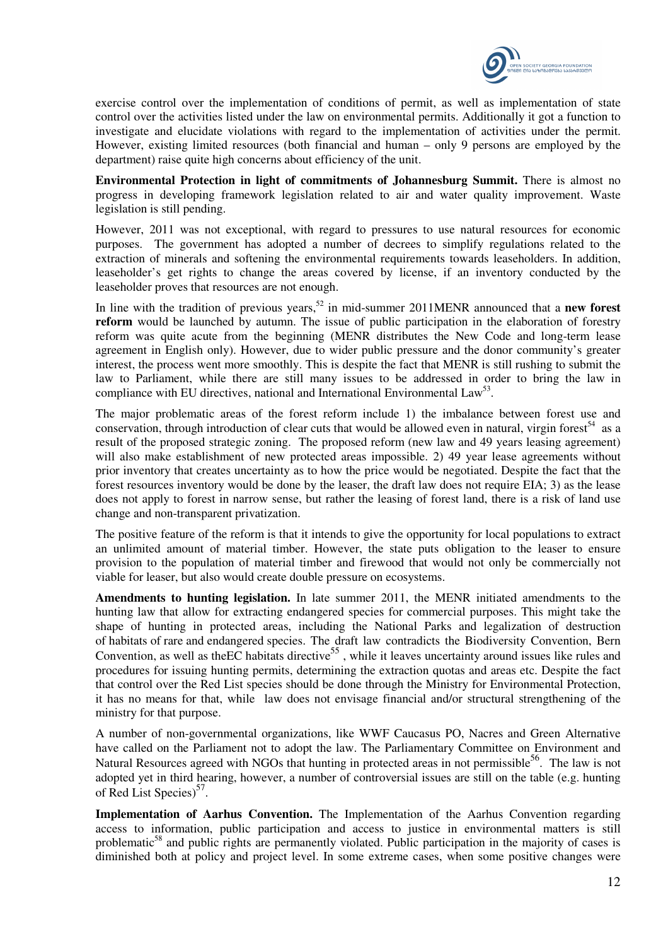

exercise control over the implementation of conditions of permit, as well as implementation of state control over the activities listed under the law on environmental permits. Additionally it got a function to investigate and elucidate violations with regard to the implementation of activities under the permit. However, existing limited resources (both financial and human – only 9 persons are employed by the department) raise quite high concerns about efficiency of the unit.

**Environmental Protection in light of commitments of Johannesburg Summit.** There is almost no progress in developing framework legislation related to air and water quality improvement. Waste legislation is still pending.

However, 2011 was not exceptional, with regard to pressures to use natural resources for economic purposes. The government has adopted a number of decrees to simplify regulations related to the extraction of minerals and softening the environmental requirements towards leaseholders. In addition, leaseholder's get rights to change the areas covered by license, if an inventory conducted by the leaseholder proves that resources are not enough.

In line with the tradition of previous years,<sup>52</sup> in mid-summer 2011MENR announced that a **new forest reform** would be launched by autumn. The issue of public participation in the elaboration of forestry reform was quite acute from the beginning (MENR distributes the New Code and long-term lease agreement in English only). However, due to wider public pressure and the donor community's greater interest, the process went more smoothly. This is despite the fact that MENR is still rushing to submit the law to Parliament, while there are still many issues to be addressed in order to bring the law in compliance with EU directives, national and International Environmental Law<sup>53</sup>.

The major problematic areas of the forest reform include 1) the imbalance between forest use and conservation, through introduction of clear cuts that would be allowed even in natural, virgin forest<sup>54</sup> as a result of the proposed strategic zoning. The proposed reform (new law and 49 years leasing agreement) will also make establishment of new protected areas impossible. 2) 49 year lease agreements without prior inventory that creates uncertainty as to how the price would be negotiated. Despite the fact that the forest resources inventory would be done by the leaser, the draft law does not require EIA; 3) as the lease does not apply to forest in narrow sense, but rather the leasing of forest land, there is a risk of land use change and non-transparent privatization.

The positive feature of the reform is that it intends to give the opportunity for local populations to extract an unlimited amount of material timber. However, the state puts obligation to the leaser to ensure provision to the population of material timber and firewood that would not only be commercially not viable for leaser, but also would create double pressure on ecosystems.

**Amendments to hunting legislation.** In late summer 2011, the MENR initiated amendments to the hunting law that allow for extracting endangered species for commercial purposes. This might take the shape of hunting in protected areas, including the National Parks and legalization of destruction of habitats of rare and endangered species. The draft law contradicts the Biodiversity Convention, Bern Convention, as well as the EC habitats directive<sup>55</sup>, while it leaves uncertainty around issues like rules and procedures for issuing hunting permits, determining the extraction quotas and areas etc. Despite the fact that control over the Red List species should be done through the Ministry for Environmental Protection, it has no means for that, while law does not envisage financial and/or structural strengthening of the ministry for that purpose.

A number of non-governmental organizations, like WWF Caucasus PO, Nacres and Green Alternative have called on the Parliament not to adopt the law. The Parliamentary Committee on Environment and Natural Resources agreed with NGOs that hunting in protected areas in not permissible<sup>56</sup>. The law is not adopted yet in third hearing, however, a number of controversial issues are still on the table (e.g. hunting of Red List Species)<sup>57</sup>.

**Implementation of Aarhus Convention.** The Implementation of the Aarhus Convention regarding access to information, public participation and access to justice in environmental matters is still problematic<sup>58</sup> and public rights are permanently violated. Public participation in the majority of cases is diminished both at policy and project level. In some extreme cases, when some positive changes were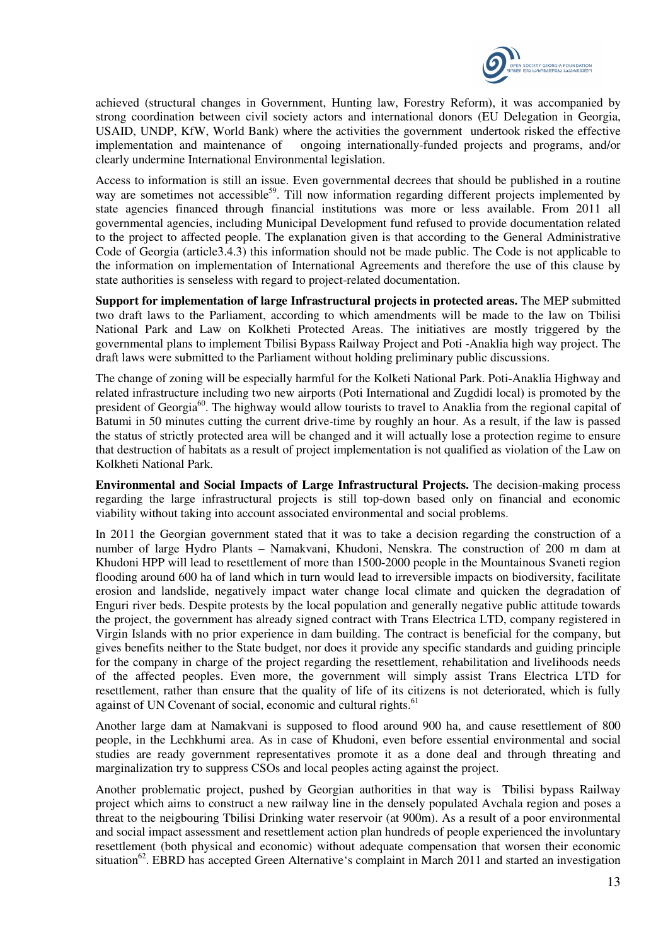

achieved (structural changes in Government, Hunting law, Forestry Reform), it was accompanied by strong coordination between civil society actors and international donors (EU Delegation in Georgia, USAID, UNDP, KfW, World Bank) where the activities the government undertook risked the effective implementation and maintenance of ongoing internationally-funded projects and programs, and/or clearly undermine International Environmental legislation.

Access to information is still an issue. Even governmental decrees that should be published in a routine way are sometimes not accessible<sup>59</sup>. Till now information regarding different projects implemented by state agencies financed through financial institutions was more or less available. From 2011 all governmental agencies, including Municipal Development fund refused to provide documentation related to the project to affected people. The explanation given is that according to the General Administrative Code of Georgia (article3.4.3) this information should not be made public. The Code is not applicable to the information on implementation of International Agreements and therefore the use of this clause by state authorities is senseless with regard to project-related documentation.

**Support for implementation of large Infrastructural projects in protected areas.** The MEP submitted two draft laws to the Parliament, according to which amendments will be made to the law on Tbilisi National Park and Law on Kolkheti Protected Areas. The initiatives are mostly triggered by the governmental plans to implement Tbilisi Bypass Railway Project and Poti -Anaklia high way project. The draft laws were submitted to the Parliament without holding preliminary public discussions.

The change of zoning will be especially harmful for the Kolketi National Park. Poti-Anaklia Highway and related infrastructure including two new airports (Poti International and Zugdidi local) is promoted by the president of Georgia<sup>60</sup>. The highway would allow tourists to travel to Anaklia from the regional capital of Batumi in 50 minutes cutting the current drive-time by roughly an hour. As a result, if the law is passed the status of strictly protected area will be changed and it will actually lose a protection regime to ensure that destruction of habitats as a result of project implementation is not qualified as violation of the Law on Kolkheti National Park.

**Environmental and Social Impacts of Large Infrastructural Projects.** The decision-making process regarding the large infrastructural projects is still top-down based only on financial and economic viability without taking into account associated environmental and social problems.

In 2011 the Georgian government stated that it was to take a decision regarding the construction of a number of large Hydro Plants – Namakvani, Khudoni, Nenskra. The construction of 200 m dam at Khudoni HPP will lead to resettlement of more than 1500-2000 people in the Mountainous Svaneti region flooding around 600 ha of land which in turn would lead to irreversible impacts on biodiversity, facilitate erosion and landslide, negatively impact water change local climate and quicken the degradation of Enguri river beds. Despite protests by the local population and generally negative public attitude towards the project, the government has already signed contract with Trans Electrica LTD, company registered in Virgin Islands with no prior experience in dam building. The contract is beneficial for the company, but gives benefits neither to the State budget, nor does it provide any specific standards and guiding principle for the company in charge of the project regarding the resettlement, rehabilitation and livelihoods needs of the affected peoples. Even more, the government will simply assist Trans Electrica LTD for resettlement, rather than ensure that the quality of life of its citizens is not deteriorated, which is fully against of UN Covenant of social, economic and cultural rights.<sup>61</sup>

Another large dam at Namakvani is supposed to flood around 900 ha, and cause resettlement of 800 people, in the Lechkhumi area. As in case of Khudoni, even before essential environmental and social studies are ready government representatives promote it as a done deal and through threating and marginalization try to suppress CSOs and local peoples acting against the project.

Another problematic project, pushed by Georgian authorities in that way is Tbilisi bypass Railway project which aims to construct a new railway line in the densely populated Avchala region and poses a threat to the neigbouring Tbilisi Drinking water reservoir (at 900m). As a result of a poor environmental and social impact assessment and resettlement action plan hundreds of people experienced the involuntary resettlement (both physical and economic) without adequate compensation that worsen their economic situation<sup>62</sup>. EBRD has accepted Green Alternative's complaint in March 2011 and started an investigation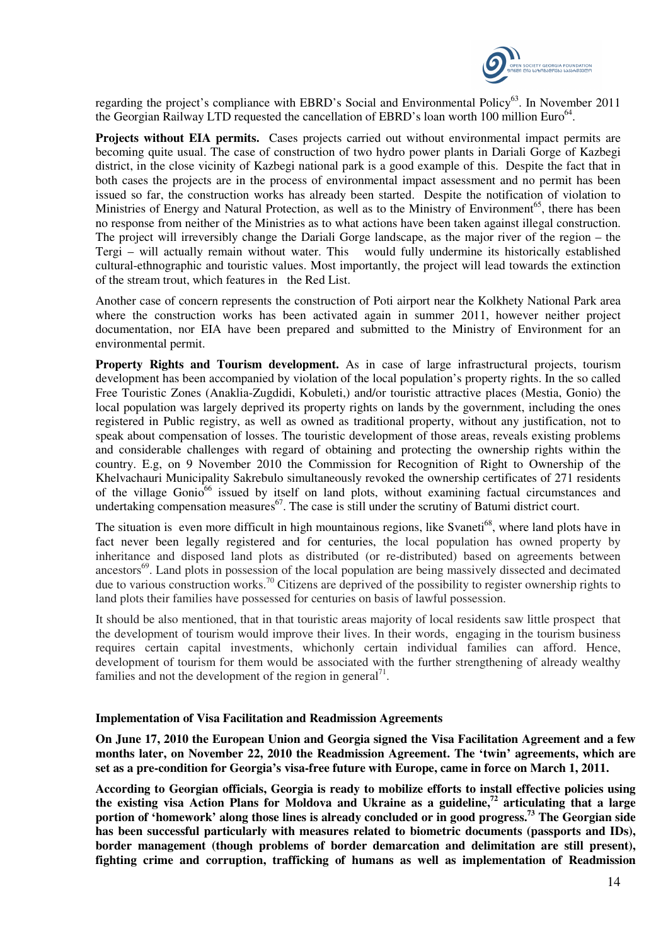

regarding the project's compliance with EBRD's Social and Environmental Policy<sup>63</sup>. In November 2011 the Georgian Railway LTD requested the cancellation of EBRD's loan worth 100 million Euro<sup>64</sup>.

**Projects without EIA permits.** Cases projects carried out without environmental impact permits are becoming quite usual. The case of construction of two hydro power plants in Dariali Gorge of Kazbegi district, in the close vicinity of Kazbegi national park is a good example of this. Despite the fact that in both cases the projects are in the process of environmental impact assessment and no permit has been issued so far, the construction works has already been started. Despite the notification of violation to Ministries of Energy and Natural Protection, as well as to the Ministry of Environment<sup>65</sup>, there has been no response from neither of the Ministries as to what actions have been taken against illegal construction. The project will irreversibly change the Dariali Gorge landscape, as the major river of the region – the Tergi – will actually remain without water. This would fully undermine its historically established cultural-ethnographic and touristic values. Most importantly, the project will lead towards the extinction of the stream trout, which features in the Red List.

Another case of concern represents the construction of Poti airport near the Kolkhety National Park area where the construction works has been activated again in summer 2011, however neither project documentation, nor EIA have been prepared and submitted to the Ministry of Environment for an environmental permit.

**Property Rights and Tourism development.** As in case of large infrastructural projects, tourism development has been accompanied by violation of the local population's property rights. In the so called Free Touristic Zones (Anaklia-Zugdidi, Kobuleti,) and/or touristic attractive places (Mestia, Gonio) the local population was largely deprived its property rights on lands by the government, including the ones registered in Public registry, as well as owned as traditional property, without any justification, not to speak about compensation of losses. The touristic development of those areas, reveals existing problems and considerable challenges with regard of obtaining and protecting the ownership rights within the country. E.g, on 9 November 2010 the Commission for Recognition of Right to Ownership of the Khelvachauri Municipality Sakrebulo simultaneously revoked the ownership certificates of 271 residents of the village Gonio<sup>66</sup> issued by itself on land plots, without examining factual circumstances and undertaking compensation measures<sup>67</sup>. The case is still under the scrutiny of Batumi district court.

The situation is even more difficult in high mountainous regions, like Svaneti<sup>68</sup>, where land plots have in fact never been legally registered and for centuries, the local population has owned property by inheritance and disposed land plots as distributed (or re-distributed) based on agreements between ancestors<sup>69</sup>. Land plots in possession of the local population are being massively dissected and decimated due to various construction works.<sup>70</sup> Citizens are deprived of the possibility to register ownership rights to land plots their families have possessed for centuries on basis of lawful possession.

It should be also mentioned, that in that touristic areas majority of local residents saw little prospect that the development of tourism would improve their lives. In their words, engaging in the tourism business requires certain capital investments, whichonly certain individual families can afford. Hence, development of tourism for them would be associated with the further strengthening of already wealthy families and not the development of the region in general<sup>71</sup>.

## **Implementation of Visa Facilitation and Readmission Agreements**

**On June 17, 2010 the European Union and Georgia signed the Visa Facilitation Agreement and a few months later, on November 22, 2010 the Readmission Agreement. The 'twin' agreements, which are set as a pre-condition for Georgia's visa-free future with Europe, came in force on March 1, 2011.** 

**According to Georgian officials, Georgia is ready to mobilize efforts to install effective policies using the existing visa Action Plans for Moldova and Ukraine as a guideline,<sup>72</sup> articulating that a large portion of 'homework' along those lines is already concluded or in good progress.<sup>73</sup> The Georgian side has been successful particularly with measures related to biometric documents (passports and IDs), border management (though problems of border demarcation and delimitation are still present), fighting crime and corruption, trafficking of humans as well as implementation of Readmission**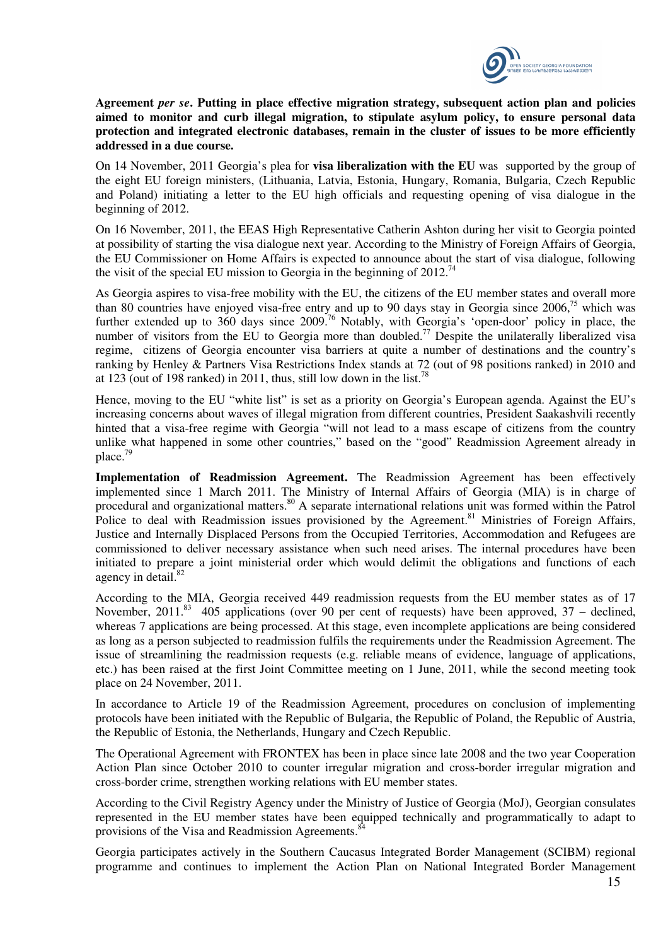

**Agreement** *per se***. Putting in place effective migration strategy, subsequent action plan and policies aimed to monitor and curb illegal migration, to stipulate asylum policy, to ensure personal data protection and integrated electronic databases, remain in the cluster of issues to be more efficiently addressed in a due course.** 

On 14 November, 2011 Georgia's plea for **visa liberalization with the EU** was supported by the group of the eight EU foreign ministers, (Lithuania, Latvia, Estonia, Hungary, Romania, Bulgaria, Czech Republic and Poland) initiating a letter to the EU high officials and requesting opening of visa dialogue in the beginning of 2012.

On 16 November, 2011, the EEAS High Representative Catherin Ashton during her visit to Georgia pointed at possibility of starting the visa dialogue next year. According to the Ministry of Foreign Affairs of Georgia, the EU Commissioner on Home Affairs is expected to announce about the start of visa dialogue, following the visit of the special EU mission to Georgia in the beginning of  $2012<sup>74</sup>$ 

As Georgia aspires to visa-free mobility with the EU, the citizens of the EU member states and overall more than 80 countries have enjoyed visa-free entry and up to 90 days stay in Georgia since  $2006$ ,<sup>75</sup> which was further extended up to 360 days since 2009.<sup>76</sup> Notably, with Georgia's 'open-door' policy in place, the number of visitors from the EU to Georgia more than doubled.<sup>77</sup> Despite the unilaterally liberalized visa regime, citizens of Georgia encounter visa barriers at quite a number of destinations and the country's ranking by Henley & Partners Visa Restrictions Index stands at 72 (out of 98 positions ranked) in 2010 and at 123 (out of 198 ranked) in 2011, thus, still low down in the list.<sup>78</sup>

Hence, moving to the EU "white list" is set as a priority on Georgia's European agenda. Against the EU's increasing concerns about waves of illegal migration from different countries, President Saakashvili recently hinted that a visa-free regime with Georgia "will not lead to a mass escape of citizens from the country unlike what happened in some other countries," based on the "good" Readmission Agreement already in place.<sup>79</sup>

**Implementation of Readmission Agreement.** The Readmission Agreement has been effectively implemented since 1 March 2011. The Ministry of Internal Affairs of Georgia (MIA) is in charge of procedural and organizational matters.<sup>80</sup> A separate international relations unit was formed within the Patrol Police to deal with Readmission issues provisioned by the Agreement.<sup>81</sup> Ministries of Foreign Affairs, Justice and Internally Displaced Persons from the Occupied Territories, Accommodation and Refugees are commissioned to deliver necessary assistance when such need arises. The internal procedures have been initiated to prepare a joint ministerial order which would delimit the obligations and functions of each agency in detail.<sup>82</sup>

According to the MIA, Georgia received 449 readmission requests from the EU member states as of 17 November, 2011.<sup>83</sup> 405 applications (over 90 per cent of requests) have been approved,  $37$  – declined, whereas 7 applications are being processed. At this stage, even incomplete applications are being considered as long as a person subjected to readmission fulfils the requirements under the Readmission Agreement. The issue of streamlining the readmission requests (e.g. reliable means of evidence, language of applications, etc.) has been raised at the first Joint Committee meeting on 1 June, 2011, while the second meeting took place on 24 November, 2011.

In accordance to Article 19 of the Readmission Agreement, procedures on conclusion of implementing protocols have been initiated with the Republic of Bulgaria, the Republic of Poland, the Republic of Austria, the Republic of Estonia, the Netherlands, Hungary and Czech Republic.

The Operational Agreement with FRONTEX has been in place since late 2008 and the two year Cooperation Action Plan since October 2010 to counter irregular migration and cross-border irregular migration and cross-border crime, strengthen working relations with EU member states.

According to the Civil Registry Agency under the Ministry of Justice of Georgia (MoJ), Georgian consulates represented in the EU member states have been equipped technically and programmatically to adapt to provisions of the Visa and Readmission Agreements.<sup>84</sup>

Georgia participates actively in the Southern Caucasus Integrated Border Management (SCIBM) regional programme and continues to implement the Action Plan on National Integrated Border Management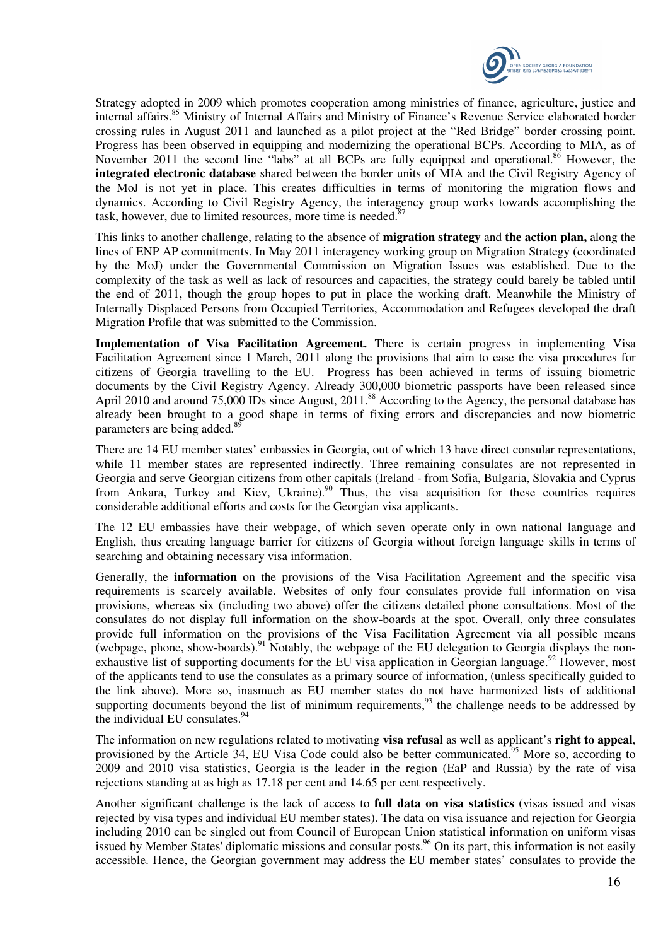

Strategy adopted in 2009 which promotes cooperation among ministries of finance, agriculture, justice and internal affairs.<sup>85</sup> Ministry of Internal Affairs and Ministry of Finance's Revenue Service elaborated border crossing rules in August 2011 and launched as a pilot project at the "Red Bridge" border crossing point. Progress has been observed in equipping and modernizing the operational BCPs. According to MIA, as of November 2011 the second line "labs" at all BCPs are fully equipped and operational.<sup>86</sup> However, the **integrated electronic database** shared between the border units of MIA and the Civil Registry Agency of the MoJ is not yet in place. This creates difficulties in terms of monitoring the migration flows and dynamics. According to Civil Registry Agency, the interagency group works towards accomplishing the task, however, due to limited resources, more time is needed. $87$ 

This links to another challenge, relating to the absence of **migration strategy** and **the action plan,** along the lines of ENP AP commitments. In May 2011 interagency working group on Migration Strategy (coordinated by the MoJ) under the Governmental Commission on Migration Issues was established. Due to the complexity of the task as well as lack of resources and capacities, the strategy could barely be tabled until the end of 2011, though the group hopes to put in place the working draft. Meanwhile the Ministry of Internally Displaced Persons from Occupied Territories, Accommodation and Refugees developed the draft Migration Profile that was submitted to the Commission.

**Implementation of Visa Facilitation Agreement.** There is certain progress in implementing Visa Facilitation Agreement since 1 March, 2011 along the provisions that aim to ease the visa procedures for citizens of Georgia travelling to the EU. Progress has been achieved in terms of issuing biometric documents by the Civil Registry Agency. Already 300,000 biometric passports have been released since April 2010 and around 75,000 IDs since August, 2011.<sup>88</sup> According to the Agency, the personal database has already been brought to a good shape in terms of fixing errors and discrepancies and now biometric parameters are being added.<sup>89</sup>

There are 14 EU member states' embassies in Georgia, out of which 13 have direct consular representations, while 11 member states are represented indirectly. Three remaining consulates are not represented in Georgia and serve Georgian citizens from other capitals (Ireland - from Sofia, Bulgaria, Slovakia and Cyprus from Ankara, Turkey and Kiev, Ukraine).<sup>90</sup> Thus, the visa acquisition for these countries requires considerable additional efforts and costs for the Georgian visa applicants.

The 12 EU embassies have their webpage, of which seven operate only in own national language and English, thus creating language barrier for citizens of Georgia without foreign language skills in terms of searching and obtaining necessary visa information.

Generally, the **information** on the provisions of the Visa Facilitation Agreement and the specific visa requirements is scarcely available. Websites of only four consulates provide full information on visa provisions, whereas six (including two above) offer the citizens detailed phone consultations. Most of the consulates do not display full information on the show-boards at the spot. Overall, only three consulates provide full information on the provisions of the Visa Facilitation Agreement via all possible means (webpage, phone, show-boards).<sup>91</sup> Notably, the webpage of the EU delegation to Georgia displays the nonexhaustive list of supporting documents for the EU visa application in Georgian language.<sup>92</sup> However, most of the applicants tend to use the consulates as a primary source of information, (unless specifically guided to the link above). More so, inasmuch as EU member states do not have harmonized lists of additional supporting documents beyond the list of minimum requirements,  $^{93}$  the challenge needs to be addressed by the individual EU consulates.<sup>94</sup>

The information on new regulations related to motivating **visa refusal** as well as applicant's **right to appeal**, provisioned by the Article 34, EU Visa Code could also be better communicated.<sup>95</sup> More so, according to 2009 and 2010 visa statistics, Georgia is the leader in the region (EaP and Russia) by the rate of visa rejections standing at as high as 17.18 per cent and 14.65 per cent respectively.

Another significant challenge is the lack of access to **full data on visa statistics** (visas issued and visas rejected by visa types and individual EU member states). The data on visa issuance and rejection for Georgia including 2010 can be singled out from Council of European Union statistical information on uniform visas issued by Member States' diplomatic missions and consular posts.<sup>96</sup> On its part, this information is not easily accessible. Hence, the Georgian government may address the EU member states' consulates to provide the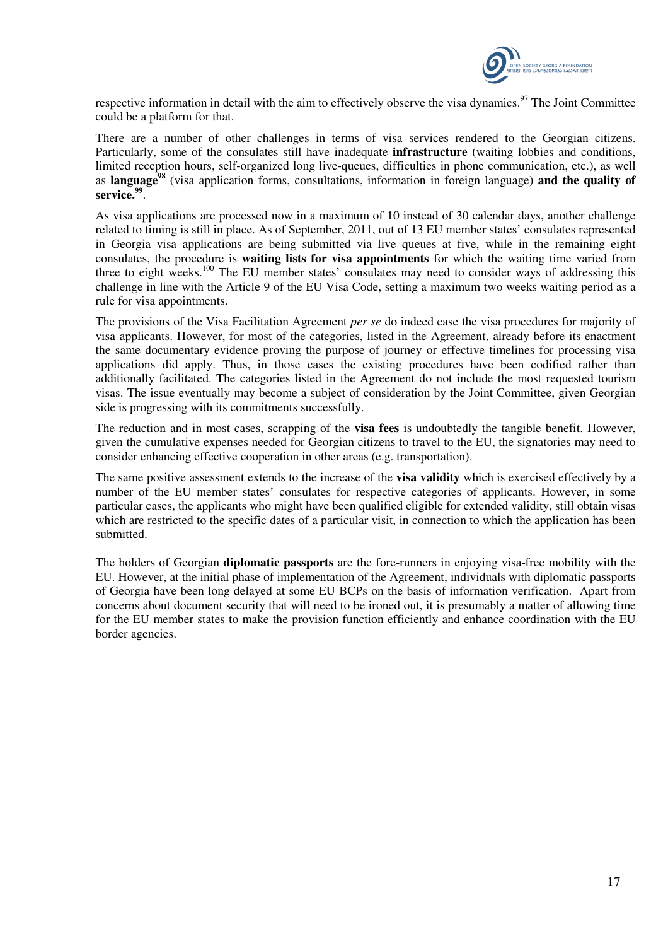

respective information in detail with the aim to effectively observe the visa dynamics.<sup>97</sup> The Joint Committee could be a platform for that.

There are a number of other challenges in terms of visa services rendered to the Georgian citizens. Particularly, some of the consulates still have inadequate **infrastructure** (waiting lobbies and conditions, limited reception hours, self-organized long live-queues, difficulties in phone communication, etc.), as well as **language<sup>98</sup>** (visa application forms, consultations, information in foreign language) **and the quality of service.<sup>99</sup>** .

As visa applications are processed now in a maximum of 10 instead of 30 calendar days, another challenge related to timing is still in place. As of September, 2011, out of 13 EU member states' consulates represented in Georgia visa applications are being submitted via live queues at five, while in the remaining eight consulates, the procedure is **waiting lists for visa appointments** for which the waiting time varied from three to eight weeks.<sup>100</sup> The EU member states' consulates may need to consider ways of addressing this challenge in line with the Article 9 of the EU Visa Code, setting a maximum two weeks waiting period as a rule for visa appointments.

The provisions of the Visa Facilitation Agreement *per se* do indeed ease the visa procedures for majority of visa applicants. However, for most of the categories, listed in the Agreement, already before its enactment the same documentary evidence proving the purpose of journey or effective timelines for processing visa applications did apply. Thus, in those cases the existing procedures have been codified rather than additionally facilitated. The categories listed in the Agreement do not include the most requested tourism visas. The issue eventually may become a subject of consideration by the Joint Committee, given Georgian side is progressing with its commitments successfully.

The reduction and in most cases, scrapping of the **visa fees** is undoubtedly the tangible benefit. However, given the cumulative expenses needed for Georgian citizens to travel to the EU, the signatories may need to consider enhancing effective cooperation in other areas (e.g. transportation).

The same positive assessment extends to the increase of the **visa validity** which is exercised effectively by a number of the EU member states' consulates for respective categories of applicants. However, in some particular cases, the applicants who might have been qualified eligible for extended validity, still obtain visas which are restricted to the specific dates of a particular visit, in connection to which the application has been submitted.

The holders of Georgian **diplomatic passports** are the fore-runners in enjoying visa-free mobility with the EU. However, at the initial phase of implementation of the Agreement, individuals with diplomatic passports of Georgia have been long delayed at some EU BCPs on the basis of information verification. Apart from concerns about document security that will need to be ironed out, it is presumably a matter of allowing time for the EU member states to make the provision function efficiently and enhance coordination with the EU border agencies.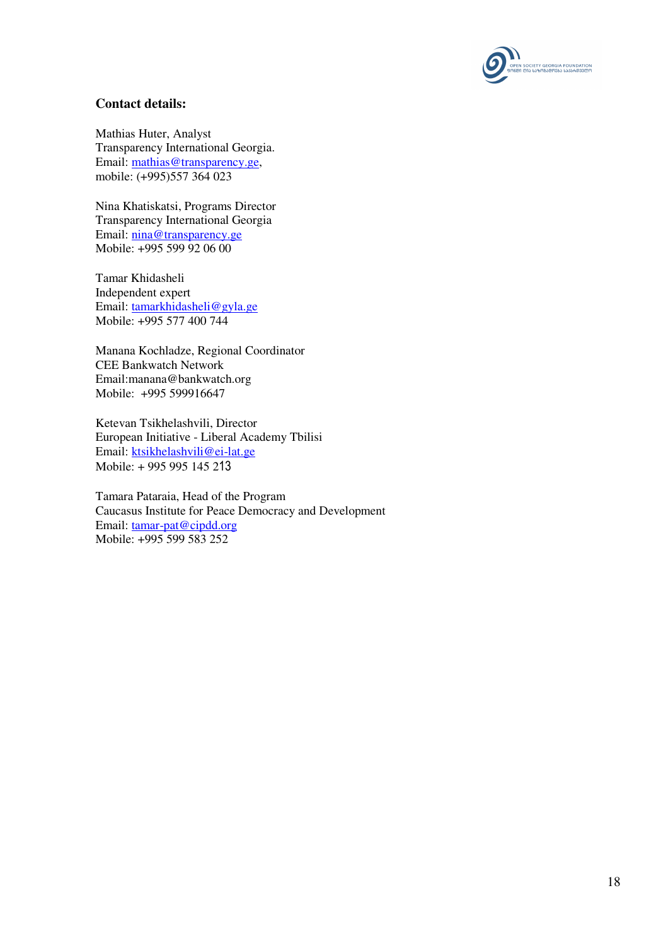

# **Contact details:**

Mathias Huter, Analyst Transparency International Georgia. Email: mathias@transparency.ge, mobile: (+995)557 364 023

Nina Khatiskatsi, Programs Director Transparency International Georgia Email: nina@transparency.ge Mobile: +995 599 92 06 00

Tamar Khidasheli Independent expert Email: tamarkhidasheli@gyla.ge Mobile: +995 577 400 744

Manana Kochladze, Regional Coordinator CEE Bankwatch Network Email:manana@bankwatch.org Mobile: +995 599916647

Ketevan Tsikhelashvili, Director European Initiative - Liberal Academy Tbilisi Email: ktsikhelashvili@ei-lat.ge Mobile: + 995 995 145 213

Tamara Pataraia, Head of the Program Caucasus Institute for Peace Democracy and Development Email: tamar-pat@cipdd.org Mobile: +995 599 583 252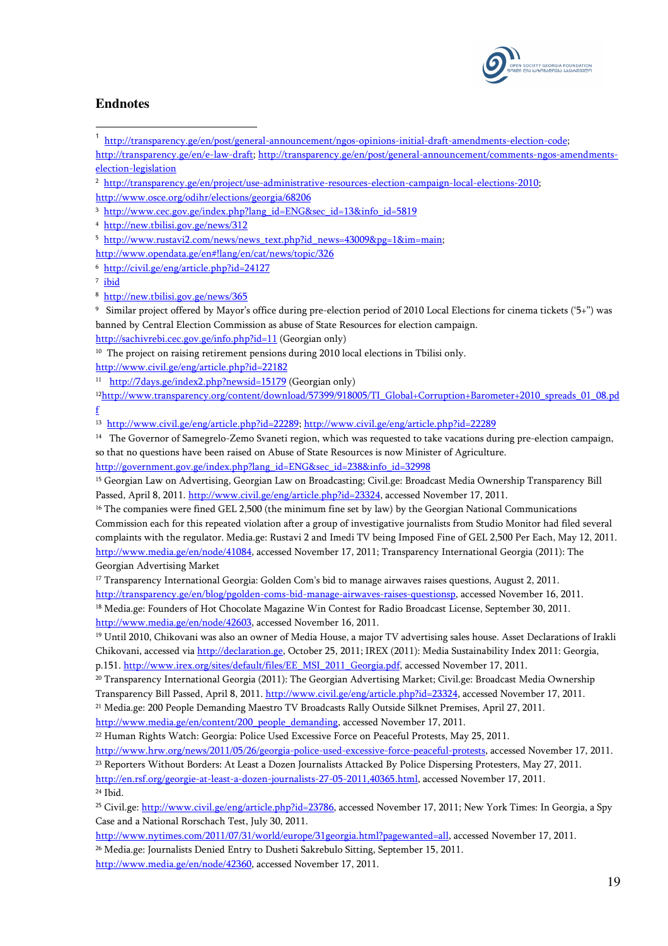

# **Endnotes**

 $\overline{a}$ 

1 http://transparency.ge/en/post/general-announcement/ngos-opinions-initial-draft-amendments-election-code;

http://transparency.ge/en/e-law-draft; http://transparency.ge/en/post/general-announcement/comments-ngos-amendmentselection-legislation

2 http://transparency.ge/en/project/use-administrative-resources-election-campaign-local-elections-2010;

http://www.osce.org/odihr/elections/georgia/68206

3 http://www.cec.gov.ge/index.php?lang\_id=ENG&sec\_id=13&info\_id=5819

4 http://new.tbilisi.gov.ge/news/312

- <sup>5</sup> http://www.rustavi2.com/news/news\_text.php?id\_news=43009&pg=1&im=main;
- http://www.opendata.ge/en#!lang/en/cat/news/topic/326

6 http://civil.ge/eng/article.php?id=24127

<sup>7</sup> ibid

9 Similar project offered by Mayor's office during pre-election period of 2010 Local Elections for cinema tickets ('5+") was banned by Central Election Commission as abuse of State Resources for election campaign.

http://sachivrebi.cec.gov.ge/info.php?id=11 (Georgian only)

 $10$  The project on raising retirement pensions during 2010 local elections in Tbilisi only.

http://www.civil.ge/eng/article.php?id=22182

<sup>11</sup> http://7days.ge/index2.php?newsid=15179 (Georgian only)

<sup>12</sup>http://www.transparency.org/content/download/57399/918005/TI\_Global+Corruption+Barometer+2010\_spreads\_01\_08.pd f

13 http://www.civil.ge/eng/article.php?id=22289; http://www.civil.ge/eng/article.php?id=22289

<sup>14</sup> The Governor of Samegrelo-Zemo Svaneti region, which was requested to take vacations during pre-election campaign, so that no questions have been raised on Abuse of State Resources is now Minister of Agriculture. http://government.gov.ge/index.php?lang\_id=ENG&sec\_id=238&info\_id=32998

<sup>15</sup> Georgian Law on Advertising, Georgian Law on Broadcasting; Civil.ge: Broadcast Media Ownership Transparency Bill Passed, April 8, 2011. http://www.civil.ge/eng/article.php?id=23324, accessed November 17, 2011.

<sup>16</sup> The companies were fined GEL 2,500 (the minimum fine set by law) by the Georgian National Communications Commission each for this repeated violation after a group of investigative journalists from Studio Monitor had filed several complaints with the regulator. Media.ge: Rustavi 2 and Imedi TV being Imposed Fine of GEL 2,500 Per Each, May 12, 2011. http://www.media.ge/en/node/41084, accessed November 17, 2011; Transparency International Georgia (2011): The Georgian Advertising Market

<sup>17</sup> Transparency International Georgia: Golden Com's bid to manage airwaves raises questions, August 2, 2011. http://transparency.ge/en/blog/pgolden-coms-bid-manage-airwaves-raises-questionsp, accessed November 16, 2011. <sup>18</sup> Media.ge: Founders of Hot Chocolate Magazine Win Contest for Radio Broadcast License, September 30, 2011.

http://www.media.ge/en/node/42603, accessed November 16, 2011.

<sup>19</sup> Until 2010, Chikovani was also an owner of Media House, a major TV advertising sales house. Asset Declarations of Irakli Chikovani, accessed via http://declaration.ge, October 25, 2011; IREX (2011): Media Sustainability Index 2011: Georgia, p.151. http://www.irex.org/sites/default/files/EE\_MSI\_2011\_Georgia.pdf, accessed November 17, 2011.

<sup>20</sup> Transparency International Georgia (2011): The Georgian Advertising Market; Civil.ge: Broadcast Media Ownership Transparency Bill Passed, April 8, 2011. http://www.civil.ge/eng/article.php?id=23324, accessed November 17, 2011. <sup>21</sup> Media.ge: 200 People Demanding Maestro TV Broadcasts Rally Outside Silknet Premises, April 27, 2011.

http://www.media.ge/en/content/200\_people\_demanding, accessed November 17, 2011.

<sup>22</sup> Human Rights Watch: Georgia: Police Used Excessive Force on Peaceful Protests, May 25, 2011.

http://www.hrw.org/news/2011/05/26/georgia-police-used-excessive-force-peaceful-protests, accessed November 17, 2011. <sup>23</sup> Reporters Without Borders: At Least a Dozen Journalists Attacked By Police Dispersing Protesters, May 27, 2011. http://en.rsf.org/georgie-at-least-a-dozen-journalists-27-05-2011,40365.html, accessed November 17, 2011. <sup>24</sup> Ibid.

<sup>25</sup> Civil.ge: http://www.civil.ge/eng/article.php?id=23786, accessed November 17, 2011; New York Times: In Georgia, a Spy Case and a National Rorschach Test, July 30, 2011.

http://www.nytimes.com/2011/07/31/world/europe/31georgia.html?pagewanted=all, accessed November 17, 2011.

<sup>26</sup> Media.ge: Journalists Denied Entry to Dusheti Sakrebulo Sitting, September 15, 2011.

http://www.media.ge/en/node/42360, accessed November 17, 2011.

<sup>8</sup> http://new.tbilisi.gov.ge/news/365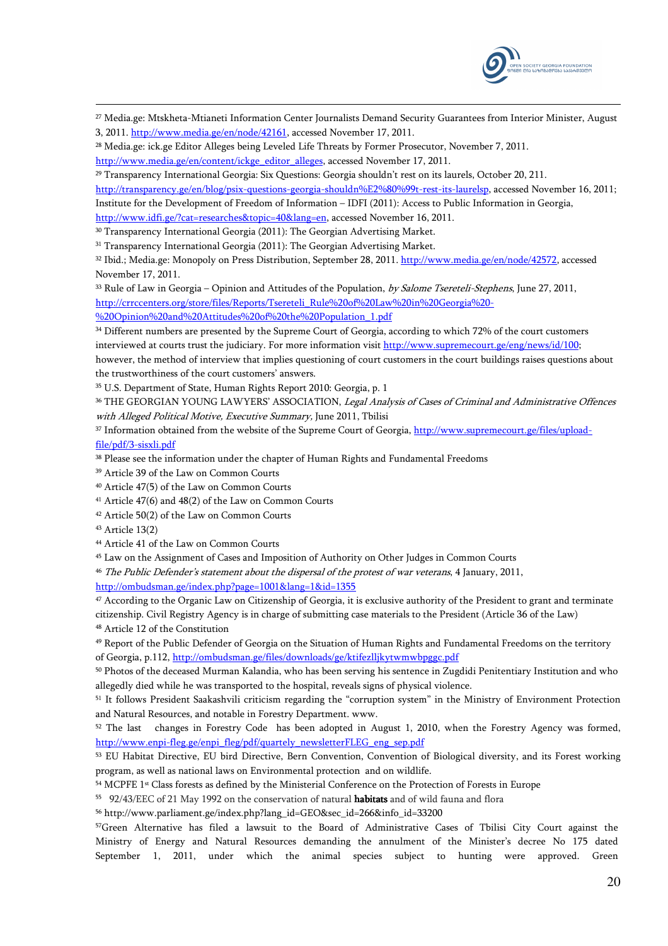

- <sup>27</sup> Media.ge: Mtskheta-Mtianeti Information Center Journalists Demand Security Guarantees from Interior Minister, August 3, 2011. http://www.media.ge/en/node/42161, accessed November 17, 2011.
- <sup>28</sup> Media.ge: ick.ge Editor Alleges being Leveled Life Threats by Former Prosecutor, November 7, 2011.
- http://www.media.ge/en/content/ickge\_editor\_alleges, accessed November 17, 2011.

<sup>29</sup> Transparency International Georgia: Six Questions: Georgia shouldn't rest on its laurels, October 20, 211.

http://transparency.ge/en/blog/psix-questions-georgia-shouldn%E2%80%99t-rest-its-laurelsp, accessed November 16, 2011; Institute for the Development of Freedom of Information – IDFI (2011): Access to Public Information in Georgia,

http://www.idfi.ge/?cat=researches&topic=40&lang=en, accessed November 16, 2011.

- <sup>30</sup> Transparency International Georgia (2011): The Georgian Advertising Market.
- <sup>31</sup> Transparency International Georgia (2011): The Georgian Advertising Market.

32 Ibid.; Media.ge: Monopoly on Press Distribution, September 28, 2011. http://www.media.ge/en/node/42572, accessed November 17, 2011.

<sup>33</sup> Rule of Law in Georgia – Opinion and Attitudes of the Population, by Salome Tsereteli-Stephens, June 27, 2011, http://crrccenters.org/store/files/Reports/Tsereteli\_Rule%20of%20Law%20in%20Georgia%20-

%20Opinion%20and%20Attitudes%20of%20the%20Population\_1.pdf

<sup>34</sup> Different numbers are presented by the Supreme Court of Georgia, according to which 72% of the court customers interviewed at courts trust the judiciary. For more information visit http://www.supremecourt.ge/eng/news/id/100;

however, the method of interview that implies questioning of court customers in the court buildings raises questions about the trustworthiness of the court customers' answers.

<sup>35</sup> U.S. Department of State, Human Rights Report 2010: Georgia, p. 1

36 THE GEORGIAN YOUNG LAWYERS' ASSOCIATION, Legal Analysis of Cases of Criminal and Administrative Offences with Alleged Political Motive, Executive Summary, June 2011, Tbilisi

37 Information obtained from the website of the Supreme Court of Georgia, http://www.supremecourt.ge/files/uploadfile/pdf/3-sisxli.pdf

<sup>38</sup> Please see the information under the chapter of Human Rights and Fundamental Freedoms

<sup>39</sup> Article 39 of the Law on Common Courts

<sup>40</sup> Article 47(5) of the Law on Common Courts

<sup>41</sup> Article 47(6) and 48(2) of the Law on Common Courts

<sup>42</sup> Article 50(2) of the Law on Common Courts

-

<sup>44</sup> Article 41 of the Law on Common Courts

<sup>45</sup> Law on the Assignment of Cases and Imposition of Authority on Other Judges in Common Courts

<sup>46</sup> The Public Defender's statement about the dispersal of the protest of war veterans, 4 January, 2011,

http://ombudsman.ge/index.php?page=1001&lang=1&id=1355

<sup>47</sup> According to the Organic Law on Citizenship of Georgia, it is exclusive authority of the President to grant and terminate citizenship. Civil Registry Agency is in charge of submitting case materials to the President (Article 36 of the Law) <sup>48</sup> Article 12 of the Constitution

<sup>49</sup> Report of the Public Defender of Georgia on the Situation of Human Rights and Fundamental Freedoms on the territory of Georgia, p.112, http://ombudsman.ge/files/downloads/ge/ktifezlljkytwmwbpggc.pdf

<sup>50</sup> Photos of the deceased Murman Kalandia, who has been serving his sentence in Zugdidi Penitentiary Institution and who allegedly died while he was transported to the hospital, reveals signs of physical violence.

<sup>51</sup> It follows President Saakashvili criticism regarding the "corruption system" in the Ministry of Environment Protection and Natural Resources, and notable in Forestry Department. www.

<sup>52</sup> The last changes in Forestry Code has been adopted in August 1, 2010, when the Forestry Agency was formed, http://www.enpi-fleg.ge/enpi\_fleg/pdf/quartely\_newsletterFLEG\_eng\_sep.pdf

<sup>53</sup> EU Habitat Directive, EU bird Directive, Bern Convention, Convention of Biological diversity, and its Forest working program, as well as national laws on Environmental protection and on wildlife.

<sup>54</sup> MCPFE 1st Class forests as defined by the Ministerial Conference on the Protection of Forests in Europe

<sup>55</sup> 92/43/EEC of 21 May 1992 on the conservation of natural **habitats** and of wild fauna and flora

<sup>56</sup> http://www.parliament.ge/index.php?lang\_id=GEO&sec\_id=266&info\_id=33200

<sup>57</sup>Green Alternative has filed a lawsuit to the Board of Administrative Cases of Tbilisi City Court against the Ministry of Energy and Natural Resources demanding the annulment of the Minister's decree No 175 dated September 1, 2011, under which the animal species subject to hunting were approved. Green

<sup>43</sup> Article 13(2)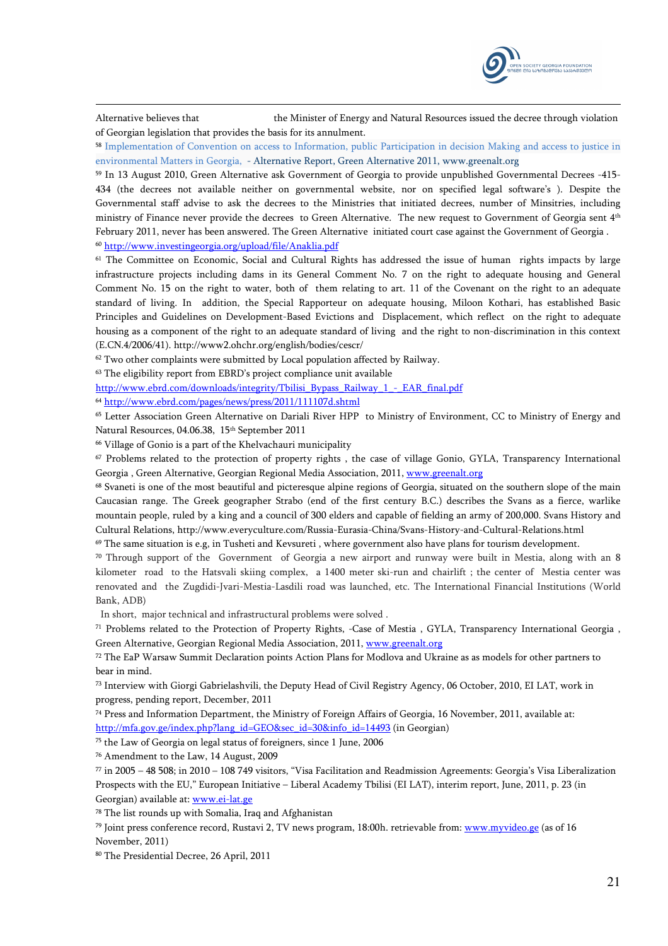

Alternative believes that the Minister of Energy and Natural Resources issued the decree through violation of Georgian legislation that provides the basis for its annulment.

<sup>58</sup> Implementation of Convention on access to Information, public Participation in decision Making and access to justice in environmental Matters in Georgia, - Alternative Report, Green Alternative 2011, www.greenalt.org

<sup>59</sup> In 13 August 2010, Green Alternative ask Government of Georgia to provide unpublished Governmental Decrees -415- 434 (the decrees not available neither on governmental website, nor on specified legal software's ). Despite the Governmental staff advise to ask the decrees to the Ministries that initiated decrees, number of Minsitries, including ministry of Finance never provide the decrees to Green Alternative. The new request to Government of Georgia sent 4<sup>th</sup> February 2011, never has been answered. The Green Alternative initiated court case against the Government of Georgia .

<sup>60</sup> http://www.investingeorgia.org/upload/file/Anaklia.pdf

-

<sup>61</sup> The Committee on Economic, Social and Cultural Rights has addressed the issue of human rights impacts by large infrastructure projects including dams in its General Comment No. 7 on the right to adequate housing and General Comment No. 15 on the right to water, both of them relating to art. 11 of the Covenant on the right to an adequate standard of living. In addition, the Special Rapporteur on adequate housing, Miloon Kothari, has established Basic Principles and Guidelines on Development-Based Evictions and Displacement, which reflect on the right to adequate housing as a component of the right to an adequate standard of living and the right to non-discrimination in this context (E.CN.4/2006/41). http://www2.ohchr.org/english/bodies/cescr/

<sup>62</sup> Two other complaints were submitted by Local population affected by Railway.

<sup>63</sup> The eligibility report from EBRD's project compliance unit available

http://www.ebrd.com/downloads/integrity/Tbilisi\_Bypass\_Railway\_1\_-\_EAR\_final.pdf

<sup>64</sup> http://www.ebrd.com/pages/news/press/2011/111107d.shtml

<sup>65</sup> Letter Association Green Alternative on Dariali River HPP to Ministry of Environment, CC to Ministry of Energy and Natural Resources, 04.06.38, 15<sup>th</sup> September 2011

<sup>66</sup> Village of Gonio is a part of the Khelvachauri municipality

<sup>67</sup> Problems related to the protection of property rights , the case of village Gonio, GYLA, Transparency International Georgia , Green Alternative, Georgian Regional Media Association, 2011, www.greenalt.org

<sup>68</sup> Svaneti is one of the most beautiful and picteresque alpine regions of Georgia, situated on the southern slope of the main Caucasian range. The Greek geographer Strabo (end of the first century B.C.) describes the Svans as a fierce, warlike mountain people, ruled by a king and a council of 300 elders and capable of fielding an army of 200,000. Svans History and Cultural Relations, http://www.everyculture.com/Russia-Eurasia-China/Svans-History-and-Cultural-Relations.html

 $69$  The same situation is e.g, in Tusheti and Kevsureti, where government also have plans for tourism development.

<sup>70</sup> Through support of the Government of Georgia a new airport and runway were built in Mestia, along with an 8 kilometer road to the Hatsvali skiing complex, a 1400 meter ski-run and chairlift ; the center of Mestia center was renovated and the Zugdidi-Jvari-Mestia-Lasdili road was launched, etc. The International Financial Institutions (World Bank, ADB)

In short, major technical and infrastructural problems were solved .

<sup>71</sup> Problems related to the Protection of Property Rights, -Case of Mestia , GYLA, Transparency International Georgia , Green Alternative, Georgian Regional Media Association, 2011, www.greenalt.org

<sup>72</sup> The EaP Warsaw Summit Declaration points Action Plans for Modlova and Ukraine as as models for other partners to bear in mind.

<sup>73</sup> Interview with Giorgi Gabrielashvili, the Deputy Head of Civil Registry Agency, 06 October, 2010, EI LAT, work in progress, pending report, December, 2011

<sup>74</sup> Press and Information Department, the Ministry of Foreign Affairs of Georgia, 16 November, 2011, available at: http://mfa.gov.ge/index.php?lang\_id=GEO&sec\_id=30&info\_id=14493 (in Georgian)

<sup>75</sup> the Law of Georgia on legal status of foreigners, since 1 June, 2006

<sup>76</sup> Amendment to the Law, 14 August, 2009

 $\frac{77}{10}$  in 2005 – 48 508; in 2010 – 108 749 visitors, "Visa Facilitation and Readmission Agreements: Georgia's Visa Liberalization Prospects with the EU," European Initiative – Liberal Academy Tbilisi (EI LAT), interim report, June, 2011, p. 23 (in Georgian) available at: www.ei-lat.ge

<sup>78</sup> The list rounds up with Somalia, Iraq and Afghanistan

<sup>79</sup> Joint press conference record, Rustavi 2, TV news program, 18:00h. retrievable from: www.myvideo.ge (as of 16 November, 2011)

80 The Presidential Decree, 26 April, 2011